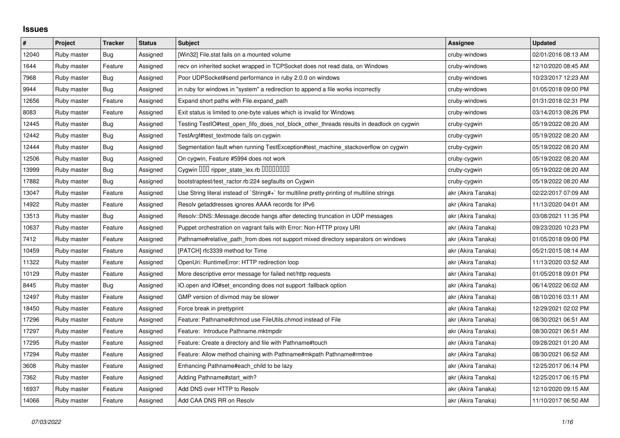## **Issues**

| #     | Project     | <b>Tracker</b> | <b>Status</b> | <b>Subject</b>                                                                              | Assignee           | <b>Updated</b>      |
|-------|-------------|----------------|---------------|---------------------------------------------------------------------------------------------|--------------------|---------------------|
| 12040 | Ruby master | Bug            | Assigned      | [Win32] File.stat fails on a mounted volume                                                 | cruby-windows      | 02/01/2016 08:13 AM |
| 1644  | Ruby master | Feature        | Assigned      | recv on inherited socket wrapped in TCPSocket does not read data, on Windows                | cruby-windows      | 12/10/2020 08:45 AM |
| 7968  | Ruby master | <b>Bug</b>     | Assigned      | Poor UDPSocket#send performance in ruby 2.0.0 on windows                                    | cruby-windows      | 10/23/2017 12:23 AM |
| 9944  | Ruby master | Bug            | Assigned      | in ruby for windows in "system" a redirection to append a file works incorrectly            | cruby-windows      | 01/05/2018 09:00 PM |
| 12656 | Ruby master | Feature        | Assigned      | Expand short paths with File.expand path                                                    | cruby-windows      | 01/31/2018 02:31 PM |
| 8083  | Ruby master | Feature        | Assigned      | Exit status is limited to one-byte values which is invalid for Windows                      | cruby-windows      | 03/14/2013 08:26 PM |
| 12445 | Ruby master | Bug            | Assigned      | Testing TestIO#test_open_fifo_does_not_block_other_threads results in deadlock on cygwin    | cruby-cygwin       | 05/19/2022 08:20 AM |
| 12442 | Ruby master | Bug            | Assigned      | TestArgf#test textmode fails on cygwin                                                      | cruby-cygwin       | 05/19/2022 08:20 AM |
| 12444 | Ruby master | <b>Bug</b>     | Assigned      | Segmentation fault when running TestException#test_machine_stackoverflow on cygwin          | cruby-cygwin       | 05/19/2022 08:20 AM |
| 12506 | Ruby master | <b>Bug</b>     | Assigned      | On cygwin, Feature #5994 does not work                                                      | cruby-cygwin       | 05/19/2022 08:20 AM |
| 13999 | Ruby master | <b>Bug</b>     | Assigned      | Cygwin 000 ripper_state_lex.rb 0000000                                                      | cruby-cygwin       | 05/19/2022 08:20 AM |
| 17882 | Ruby master | <b>Bug</b>     | Assigned      | bootstraptest/test ractor.rb:224 segfaults on Cygwin                                        | cruby-cygwin       | 05/19/2022 08:20 AM |
| 13047 | Ruby master | Feature        | Assigned      | Use String literal instead of `String#+` for multiline pretty-printing of multiline strings | akr (Akira Tanaka) | 02/22/2017 07:09 AM |
| 14922 | Ruby master | Feature        | Assigned      | Resolv getaddresses ignores AAAA records for IPv6                                           | akr (Akira Tanaka) | 11/13/2020 04:01 AM |
| 13513 | Ruby master | <b>Bug</b>     | Assigned      | Resolv::DNS::Message.decode hangs after detecting truncation in UDP messages                | akr (Akira Tanaka) | 03/08/2021 11:35 PM |
| 10637 | Ruby master | Feature        | Assigned      | Puppet orchestration on vagrant fails with Error: Non-HTTP proxy URI                        | akr (Akira Tanaka) | 09/23/2020 10:23 PM |
| 7412  | Ruby master | Feature        | Assigned      | Pathname#relative_path_from does not support mixed directory separators on windows          | akr (Akira Tanaka) | 01/05/2018 09:00 PM |
| 10459 | Ruby master | Feature        | Assigned      | [PATCH] rfc3339 method for Time                                                             | akr (Akira Tanaka) | 05/21/2015 08:14 AM |
| 11322 | Ruby master | Feature        | Assigned      | OpenUri: RuntimeError: HTTP redirection loop                                                | akr (Akira Tanaka) | 11/13/2020 03:52 AM |
| 10129 | Ruby master | Feature        | Assigned      | More descriptive error message for failed net/http requests                                 | akr (Akira Tanaka) | 01/05/2018 09:01 PM |
| 8445  | Ruby master | <b>Bug</b>     | Assigned      | O.open and IO#set_enconding does not support :fallback option                               | akr (Akira Tanaka) | 06/14/2022 06:02 AM |
| 12497 | Ruby master | Feature        | Assigned      | GMP version of divmod may be slower                                                         | akr (Akira Tanaka) | 08/10/2016 03:11 AM |
| 18450 | Ruby master | Feature        | Assigned      | Force break in prettyprint                                                                  | akr (Akira Tanaka) | 12/29/2021 02:02 PM |
| 17296 | Ruby master | Feature        | Assigned      | Feature: Pathname#chmod use FileUtils.chmod instead of File                                 | akr (Akira Tanaka) | 08/30/2021 06:51 AM |
| 17297 | Ruby master | Feature        | Assigned      | Feature: Introduce Pathname.mktmpdir                                                        | akr (Akira Tanaka) | 08/30/2021 06:51 AM |
| 17295 | Ruby master | Feature        | Assigned      | Feature: Create a directory and file with Pathname#touch                                    | akr (Akira Tanaka) | 09/28/2021 01:20 AM |
| 17294 | Ruby master | Feature        | Assigned      | Feature: Allow method chaining with Pathname#mkpath Pathname#rmtree                         | akr (Akira Tanaka) | 08/30/2021 06:52 AM |
| 3608  | Ruby master | Feature        | Assigned      | Enhancing Pathname#each_child to be lazy                                                    | akr (Akira Tanaka) | 12/25/2017 06:14 PM |
| 7362  | Ruby master | Feature        | Assigned      | Adding Pathname#start_with?                                                                 | akr (Akira Tanaka) | 12/25/2017 06:15 PM |
| 16937 | Ruby master | Feature        | Assigned      | Add DNS over HTTP to Resolv                                                                 | akr (Akira Tanaka) | 12/10/2020 09:15 AM |
| 14066 | Ruby master | Feature        | Assigned      | Add CAA DNS RR on Resolv                                                                    | akr (Akira Tanaka) | 11/10/2017 06:50 AM |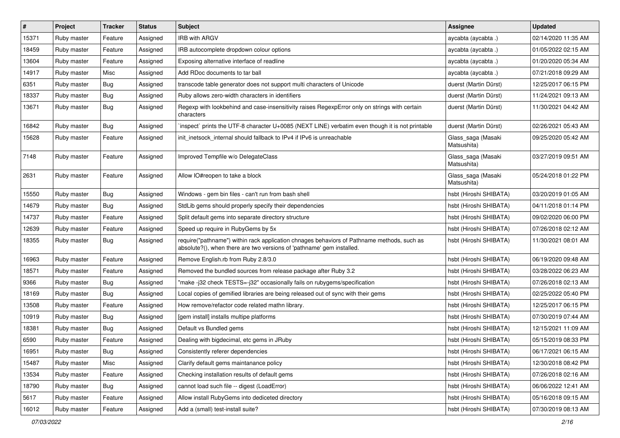| #     | Project     | <b>Tracker</b> | <b>Status</b> | <b>Subject</b>                                                                                                                                                      | Assignee                          | <b>Updated</b>      |
|-------|-------------|----------------|---------------|---------------------------------------------------------------------------------------------------------------------------------------------------------------------|-----------------------------------|---------------------|
| 15371 | Ruby master | Feature        | Assigned      | <b>IRB with ARGV</b>                                                                                                                                                | aycabta (aycabta .)               | 02/14/2020 11:35 AM |
| 18459 | Ruby master | Feature        | Assigned      | IRB autocomplete dropdown colour options                                                                                                                            | aycabta (aycabta.)                | 01/05/2022 02:15 AM |
| 13604 | Ruby master | Feature        | Assigned      | Exposing alternative interface of readline                                                                                                                          | aycabta (aycabta.)                | 01/20/2020 05:34 AM |
| 14917 | Ruby master | Misc           | Assigned      | Add RDoc documents to tar ball                                                                                                                                      | aycabta (aycabta.)                | 07/21/2018 09:29 AM |
| 6351  | Ruby master | <b>Bug</b>     | Assigned      | transcode table generator does not support multi characters of Unicode                                                                                              | duerst (Martin Dürst)             | 12/25/2017 06:15 PM |
| 18337 | Ruby master | <b>Bug</b>     | Assigned      | Ruby allows zero-width characters in identifiers                                                                                                                    | duerst (Martin Dürst)             | 11/24/2021 09:13 AM |
| 13671 | Ruby master | Bug            | Assigned      | Regexp with lookbehind and case-insensitivity raises RegexpError only on strings with certain<br>characters                                                         | duerst (Martin Dürst)             | 11/30/2021 04:42 AM |
| 16842 | Ruby master | Bug            | Assigned      | inspect` prints the UTF-8 character U+0085 (NEXT LINE) verbatim even though it is not printable                                                                     | duerst (Martin Dürst)             | 02/26/2021 05:43 AM |
| 15628 | Ruby master | Feature        | Assigned      | init_inetsock_internal should fallback to IPv4 if IPv6 is unreachable                                                                                               | Glass_saga (Masaki<br>Matsushita) | 09/25/2020 05:42 AM |
| 7148  | Ruby master | Feature        | Assigned      | Improved Tempfile w/o DelegateClass                                                                                                                                 | Glass_saga (Masaki<br>Matsushita) | 03/27/2019 09:51 AM |
| 2631  | Ruby master | Feature        | Assigned      | Allow IO#reopen to take a block                                                                                                                                     | Glass_saga (Masaki<br>Matsushita) | 05/24/2018 01:22 PM |
| 15550 | Ruby master | Bug            | Assigned      | Windows - gem bin files - can't run from bash shell                                                                                                                 | hsbt (Hiroshi SHIBATA)            | 03/20/2019 01:05 AM |
| 14679 | Ruby master | <b>Bug</b>     | Assigned      | StdLib gems should properly specify their dependencies                                                                                                              | hsbt (Hiroshi SHIBATA)            | 04/11/2018 01:14 PM |
| 14737 | Ruby master | Feature        | Assigned      | Split default gems into separate directory structure                                                                                                                | hsbt (Hiroshi SHIBATA)            | 09/02/2020 06:00 PM |
| 12639 | Ruby master | Feature        | Assigned      | Speed up require in RubyGems by 5x                                                                                                                                  | hsbt (Hiroshi SHIBATA)            | 07/26/2018 02:12 AM |
| 18355 | Ruby master | Bug            | Assigned      | require("pathname") within rack application chnages behaviors of Pathname methods, such as<br>absolute?(), when there are two versions of 'pathname' gem installed. | hsbt (Hiroshi SHIBATA)            | 11/30/2021 08:01 AM |
| 16963 | Ruby master | Feature        | Assigned      | Remove English.rb from Ruby 2.8/3.0                                                                                                                                 | hsbt (Hiroshi SHIBATA)            | 06/19/2020 09:48 AM |
| 18571 | Ruby master | Feature        | Assigned      | Removed the bundled sources from release package after Ruby 3.2                                                                                                     | hsbt (Hiroshi SHIBATA)            | 03/28/2022 06:23 AM |
| 9366  | Ruby master | Bug            | Assigned      | "make -j32 check TESTS=-j32" occasionally fails on rubygems/specification                                                                                           | hsbt (Hiroshi SHIBATA)            | 07/26/2018 02:13 AM |
| 18169 | Ruby master | <b>Bug</b>     | Assigned      | Local copies of gemified libraries are being released out of sync with their gems                                                                                   | hsbt (Hiroshi SHIBATA)            | 02/25/2022 05:40 PM |
| 13508 | Ruby master | Feature        | Assigned      | How remove/refactor code related mathn library.                                                                                                                     | hsbt (Hiroshi SHIBATA)            | 12/25/2017 06:15 PM |
| 10919 | Ruby master | <b>Bug</b>     | Assigned      | [gem install] installs multipe platforms                                                                                                                            | hsbt (Hiroshi SHIBATA)            | 07/30/2019 07:44 AM |
| 18381 | Ruby master | <b>Bug</b>     | Assigned      | Default vs Bundled gems                                                                                                                                             | hsbt (Hiroshi SHIBATA)            | 12/15/2021 11:09 AM |
| 6590  | Ruby master | Feature        | Assigned      | Dealing with bigdecimal, etc gems in JRuby                                                                                                                          | hsbt (Hiroshi SHIBATA)            | 05/15/2019 08:33 PM |
| 16951 | Ruby master | Bug            | Assigned      | Consistently referer dependencies                                                                                                                                   | hsbt (Hiroshi SHIBATA)            | 06/17/2021 06:15 AM |
| 15487 | Ruby master | Misc           | Assigned      | Clarify default gems maintanance policy                                                                                                                             | hsbt (Hiroshi SHIBATA)            | 12/30/2018 08:42 PM |
| 13534 | Ruby master | Feature        | Assigned      | Checking installation results of default gems                                                                                                                       | hsbt (Hiroshi SHIBATA)            | 07/26/2018 02:16 AM |
| 18790 | Ruby master | Bug            | Assigned      | cannot load such file -- digest (LoadError)                                                                                                                         | hsbt (Hiroshi SHIBATA)            | 06/06/2022 12:41 AM |
| 5617  | Ruby master | Feature        | Assigned      | Allow install RubyGems into dediceted directory                                                                                                                     | hsbt (Hiroshi SHIBATA)            | 05/16/2018 09:15 AM |
| 16012 | Ruby master | Feature        | Assigned      | Add a (small) test-install suite?                                                                                                                                   | hsbt (Hiroshi SHIBATA)            | 07/30/2019 08:13 AM |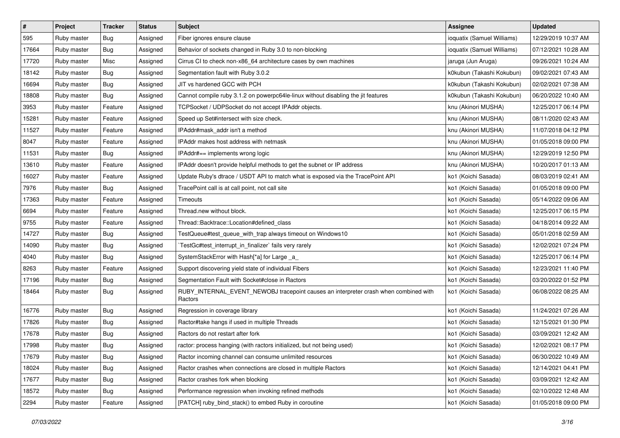| $\sharp$ | Project     | Tracker    | <b>Status</b> | <b>Subject</b>                                                                                  | Assignee                   | <b>Updated</b>      |
|----------|-------------|------------|---------------|-------------------------------------------------------------------------------------------------|----------------------------|---------------------|
| 595      | Ruby master | <b>Bug</b> | Assigned      | Fiber ignores ensure clause                                                                     | ioquatix (Samuel Williams) | 12/29/2019 10:37 AM |
| 17664    | Ruby master | <b>Bug</b> | Assigned      | Behavior of sockets changed in Ruby 3.0 to non-blocking                                         | ioquatix (Samuel Williams) | 07/12/2021 10:28 AM |
| 17720    | Ruby master | Misc       | Assigned      | Cirrus CI to check non-x86_64 architecture cases by own machines                                | jaruga (Jun Aruga)         | 09/26/2021 10:24 AM |
| 18142    | Ruby master | Bug        | Assigned      | Segmentation fault with Ruby 3.0.2                                                              | k0kubun (Takashi Kokubun)  | 09/02/2021 07:43 AM |
| 16694    | Ruby master | <b>Bug</b> | Assigned      | JIT vs hardened GCC with PCH                                                                    | k0kubun (Takashi Kokubun)  | 02/02/2021 07:38 AM |
| 18808    | Ruby master | <b>Bug</b> | Assigned      | Cannot compile ruby 3.1.2 on powerpc64le-linux without disabling the jit features               | k0kubun (Takashi Kokubun)  | 06/20/2022 10:40 AM |
| 3953     | Ruby master | Feature    | Assigned      | TCPSocket / UDPSocket do not accept IPAddr objects.                                             | knu (Akinori MUSHA)        | 12/25/2017 06:14 PM |
| 15281    | Ruby master | Feature    | Assigned      | Speed up Set#intersect with size check.                                                         | knu (Akinori MUSHA)        | 08/11/2020 02:43 AM |
| 11527    | Ruby master | Feature    | Assigned      | IPAddr#mask_addr isn't a method                                                                 | knu (Akinori MUSHA)        | 11/07/2018 04:12 PM |
| 8047     | Ruby master | Feature    | Assigned      | IPAddr makes host address with netmask                                                          | knu (Akinori MUSHA)        | 01/05/2018 09:00 PM |
| 11531    | Ruby master | <b>Bug</b> | Assigned      | IPAddr#== implements wrong logic                                                                | knu (Akinori MUSHA)        | 12/29/2019 12:50 PM |
| 13610    | Ruby master | Feature    | Assigned      | IPAddr doesn't provide helpful methods to get the subnet or IP address                          | knu (Akinori MUSHA)        | 10/20/2017 01:13 AM |
| 16027    | Ruby master | Feature    | Assigned      | Update Ruby's dtrace / USDT API to match what is exposed via the TracePoint API                 | ko1 (Koichi Sasada)        | 08/03/2019 02:41 AM |
| 7976     | Ruby master | Bug        | Assigned      | TracePoint call is at call point, not call site                                                 | ko1 (Koichi Sasada)        | 01/05/2018 09:00 PM |
| 17363    | Ruby master | Feature    | Assigned      | Timeouts                                                                                        | ko1 (Koichi Sasada)        | 05/14/2022 09:06 AM |
| 6694     | Ruby master | Feature    | Assigned      | Thread.new without block.                                                                       | ko1 (Koichi Sasada)        | 12/25/2017 06:15 PM |
| 9755     | Ruby master | Feature    | Assigned      | Thread::Backtrace::Location#defined_class                                                       | ko1 (Koichi Sasada)        | 04/18/2014 09:22 AM |
| 14727    | Ruby master | Bug        | Assigned      | TestQueue#test_queue_with_trap always timeout on Windows10                                      | ko1 (Koichi Sasada)        | 05/01/2018 02:59 AM |
| 14090    | Ruby master | <b>Bug</b> | Assigned      | TestGc#test_interrupt_in_finalizer` fails very rarely                                           | ko1 (Koichi Sasada)        | 12/02/2021 07:24 PM |
| 4040     | Ruby master | <b>Bug</b> | Assigned      | SystemStackError with Hash[*a] for Large _a_                                                    | ko1 (Koichi Sasada)        | 12/25/2017 06:14 PM |
| 8263     | Ruby master | Feature    | Assigned      | Support discovering yield state of individual Fibers                                            | ko1 (Koichi Sasada)        | 12/23/2021 11:40 PM |
| 17196    | Ruby master | <b>Bug</b> | Assigned      | Segmentation Fault with Socket#close in Ractors                                                 | ko1 (Koichi Sasada)        | 03/20/2022 01:52 PM |
| 18464    | Ruby master | Bug        | Assigned      | RUBY_INTERNAL_EVENT_NEWOBJ tracepoint causes an interpreter crash when combined with<br>Ractors | ko1 (Koichi Sasada)        | 06/08/2022 08:25 AM |
| 16776    | Ruby master | Bug        | Assigned      | Regression in coverage library                                                                  | ko1 (Koichi Sasada)        | 11/24/2021 07:26 AM |
| 17826    | Ruby master | <b>Bug</b> | Assigned      | Ractor#take hangs if used in multiple Threads                                                   | ko1 (Koichi Sasada)        | 12/15/2021 01:30 PM |
| 17678    | Ruby master | Bug        | Assigned      | Ractors do not restart after fork                                                               | ko1 (Koichi Sasada)        | 03/09/2021 12:42 AM |
| 17998    | Ruby master | <b>Bug</b> | Assigned      | ractor: process hanging (with ractors initialized, but not being used)                          | ko1 (Koichi Sasada)        | 12/02/2021 08:17 PM |
| 17679    | Ruby master | <b>Bug</b> | Assigned      | Ractor incoming channel can consume unlimited resources                                         | ko1 (Koichi Sasada)        | 06/30/2022 10:49 AM |
| 18024    | Ruby master | Bug        | Assigned      | Ractor crashes when connections are closed in multiple Ractors                                  | ko1 (Koichi Sasada)        | 12/14/2021 04:41 PM |
| 17677    | Ruby master | <b>Bug</b> | Assigned      | Ractor crashes fork when blocking                                                               | ko1 (Koichi Sasada)        | 03/09/2021 12:42 AM |
| 18572    | Ruby master | <b>Bug</b> | Assigned      | Performance regression when invoking refined methods                                            | ko1 (Koichi Sasada)        | 02/10/2022 12:48 AM |
| 2294     | Ruby master | Feature    | Assigned      | [PATCH] ruby_bind_stack() to embed Ruby in coroutine                                            | ko1 (Koichi Sasada)        | 01/05/2018 09:00 PM |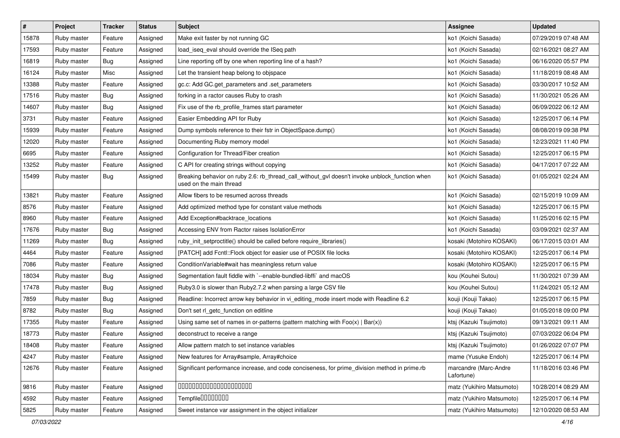| $\vert$ # | Project     | <b>Tracker</b> | <b>Status</b> | <b>Subject</b>                                                                                                            | Assignee                            | <b>Updated</b>      |
|-----------|-------------|----------------|---------------|---------------------------------------------------------------------------------------------------------------------------|-------------------------------------|---------------------|
| 15878     | Ruby master | Feature        | Assigned      | Make exit faster by not running GC                                                                                        | ko1 (Koichi Sasada)                 | 07/29/2019 07:48 AM |
| 17593     | Ruby master | Feature        | Assigned      | load_iseq_eval should override the ISeq path                                                                              | ko1 (Koichi Sasada)                 | 02/16/2021 08:27 AM |
| 16819     | Ruby master | Bug            | Assigned      | Line reporting off by one when reporting line of a hash?                                                                  | ko1 (Koichi Sasada)                 | 06/16/2020 05:57 PM |
| 16124     | Ruby master | Misc           | Assigned      | Let the transient heap belong to objspace                                                                                 | ko1 (Koichi Sasada)                 | 11/18/2019 08:48 AM |
| 13388     | Ruby master | Feature        | Assigned      | gc.c: Add GC.get_parameters and .set_parameters                                                                           | ko1 (Koichi Sasada)                 | 03/30/2017 10:52 AM |
| 17516     | Ruby master | Bug            | Assigned      | forking in a ractor causes Ruby to crash                                                                                  | ko1 (Koichi Sasada)                 | 11/30/2021 05:26 AM |
| 14607     | Ruby master | <b>Bug</b>     | Assigned      | Fix use of the rb_profile_frames start parameter                                                                          | ko1 (Koichi Sasada)                 | 06/09/2022 06:12 AM |
| 3731      | Ruby master | Feature        | Assigned      | Easier Embedding API for Ruby                                                                                             | ko1 (Koichi Sasada)                 | 12/25/2017 06:14 PM |
| 15939     | Ruby master | Feature        | Assigned      | Dump symbols reference to their fstr in ObjectSpace.dump()                                                                | ko1 (Koichi Sasada)                 | 08/08/2019 09:38 PM |
| 12020     | Ruby master | Feature        | Assigned      | Documenting Ruby memory model                                                                                             | ko1 (Koichi Sasada)                 | 12/23/2021 11:40 PM |
| 6695      | Ruby master | Feature        | Assigned      | Configuration for Thread/Fiber creation                                                                                   | ko1 (Koichi Sasada)                 | 12/25/2017 06:15 PM |
| 13252     | Ruby master | Feature        | Assigned      | C API for creating strings without copying                                                                                | ko1 (Koichi Sasada)                 | 04/17/2017 07:22 AM |
| 15499     | Ruby master | Bug            | Assigned      | Breaking behavior on ruby 2.6: rb_thread_call_without_gvl doesn't invoke unblock_function when<br>used on the main thread | ko1 (Koichi Sasada)                 | 01/05/2021 02:24 AM |
| 13821     | Ruby master | Feature        | Assigned      | Allow fibers to be resumed across threads                                                                                 | ko1 (Koichi Sasada)                 | 02/15/2019 10:09 AM |
| 8576      | Ruby master | Feature        | Assigned      | Add optimized method type for constant value methods                                                                      | ko1 (Koichi Sasada)                 | 12/25/2017 06:15 PM |
| 8960      | Ruby master | Feature        | Assigned      | Add Exception#backtrace_locations                                                                                         | ko1 (Koichi Sasada)                 | 11/25/2016 02:15 PM |
| 17676     | Ruby master | <b>Bug</b>     | Assigned      | Accessing ENV from Ractor raises IsolationError                                                                           | ko1 (Koichi Sasada)                 | 03/09/2021 02:37 AM |
| 11269     | Ruby master | <b>Bug</b>     | Assigned      | ruby init setproctitle() should be called before require libraries()                                                      | kosaki (Motohiro KOSAKI)            | 06/17/2015 03:01 AM |
| 4464      | Ruby master | Feature        | Assigned      | [PATCH] add Fcntl:: Flock object for easier use of POSIX file locks                                                       | kosaki (Motohiro KOSAKI)            | 12/25/2017 06:14 PM |
| 7086      | Ruby master | Feature        | Assigned      | ConditionVariable#wait has meaningless return value                                                                       | kosaki (Motohiro KOSAKI)            | 12/25/2017 06:15 PM |
| 18034     | Ruby master | Bug            | Assigned      | Segmentation fault fiddle with `--enable-bundled-libffi` and macOS                                                        | kou (Kouhei Sutou)                  | 11/30/2021 07:39 AM |
| 17478     | Ruby master | Bug            | Assigned      | Ruby3.0 is slower than Ruby2.7.2 when parsing a large CSV file                                                            | kou (Kouhei Sutou)                  | 11/24/2021 05:12 AM |
| 7859      | Ruby master | <b>Bug</b>     | Assigned      | Readline: Incorrect arrow key behavior in vi_editing_mode insert mode with Readline 6.2                                   | kouji (Kouji Takao)                 | 12/25/2017 06:15 PM |
| 8782      | Ruby master | <b>Bug</b>     | Assigned      | Don't set rl_getc_function on editline                                                                                    | kouji (Kouji Takao)                 | 01/05/2018 09:00 PM |
| 17355     | Ruby master | Feature        | Assigned      | Using same set of names in or-patterns (pattern matching with $Foo(x)   Bar(x)$ )                                         | ktsj (Kazuki Tsujimoto)             | 09/13/2021 09:11 AM |
| 18773     | Ruby master | Feature        | Assigned      | deconstruct to receive a range                                                                                            | ktsj (Kazuki Tsujimoto)             | 07/03/2022 06:04 PM |
| 18408     | Ruby master | Feature        | Assigned      | Allow pattern match to set instance variables                                                                             | ktsj (Kazuki Tsujimoto)             | 01/26/2022 07:07 PM |
| 4247      | Ruby master | Feature        | Assigned      | New features for Array#sample, Array#choice                                                                               | mame (Yusuke Endoh)                 | 12/25/2017 06:14 PM |
| 12676     | Ruby master | Feature        | Assigned      | Significant performance increase, and code conciseness, for prime division method in prime.rb                             | marcandre (Marc-Andre<br>Lafortune) | 11/18/2016 03:46 PM |
| 9816      | Ruby master | Feature        | Assigned      | 00000000000000000000                                                                                                      | matz (Yukihiro Matsumoto)           | 10/28/2014 08:29 AM |
| 4592      | Ruby master | Feature        | Assigned      | Tempfile0000000                                                                                                           | matz (Yukihiro Matsumoto)           | 12/25/2017 06:14 PM |
| 5825      | Ruby master | Feature        | Assigned      | Sweet instance var assignment in the object initializer                                                                   | matz (Yukihiro Matsumoto)           | 12/10/2020 08:53 AM |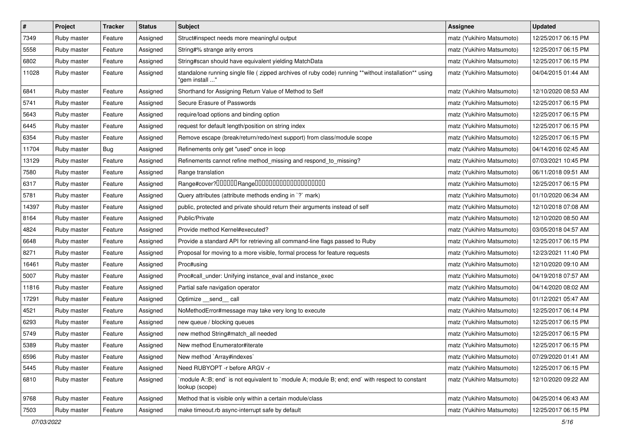| $\pmb{\#}$ | Project     | <b>Tracker</b> | <b>Status</b> | <b>Subject</b>                                                                                                          | Assignee                  | <b>Updated</b>      |
|------------|-------------|----------------|---------------|-------------------------------------------------------------------------------------------------------------------------|---------------------------|---------------------|
| 7349       | Ruby master | Feature        | Assigned      | Struct#inspect needs more meaningful output                                                                             | matz (Yukihiro Matsumoto) | 12/25/2017 06:15 PM |
| 5558       | Ruby master | Feature        | Assigned      | String#% strange arity errors                                                                                           | matz (Yukihiro Matsumoto) | 12/25/2017 06:15 PM |
| 6802       | Ruby master | Feature        | Assigned      | String#scan should have equivalent yielding MatchData                                                                   | matz (Yukihiro Matsumoto) | 12/25/2017 06:15 PM |
| 11028      | Ruby master | Feature        | Assigned      | standalone running single file ( zipped archives of ruby code) running **without installation** using<br>"gem install " | matz (Yukihiro Matsumoto) | 04/04/2015 01:44 AM |
| 6841       | Ruby master | Feature        | Assigned      | Shorthand for Assigning Return Value of Method to Self                                                                  | matz (Yukihiro Matsumoto) | 12/10/2020 08:53 AM |
| 5741       | Ruby master | Feature        | Assigned      | Secure Erasure of Passwords                                                                                             | matz (Yukihiro Matsumoto) | 12/25/2017 06:15 PM |
| 5643       | Ruby master | Feature        | Assigned      | require/load options and binding option                                                                                 | matz (Yukihiro Matsumoto) | 12/25/2017 06:15 PM |
| 6445       | Ruby master | Feature        | Assigned      | request for default length/position on string index                                                                     | matz (Yukihiro Matsumoto) | 12/25/2017 06:15 PM |
| 6354       | Ruby master | Feature        | Assigned      | Remove escape (break/return/redo/next support) from class/module scope                                                  | matz (Yukihiro Matsumoto) | 12/25/2017 06:15 PM |
| 11704      | Ruby master | Bug            | Assigned      | Refinements only get "used" once in loop                                                                                | matz (Yukihiro Matsumoto) | 04/14/2016 02:45 AM |
| 13129      | Ruby master | Feature        | Assigned      | Refinements cannot refine method_missing and respond_to_missing?                                                        | matz (Yukihiro Matsumoto) | 07/03/2021 10:45 PM |
| 7580       | Ruby master | Feature        | Assigned      | Range translation                                                                                                       | matz (Yukihiro Matsumoto) | 06/11/2018 09:51 AM |
| 6317       | Ruby master | Feature        | Assigned      | Range#cover?000000Range00000000000000000000                                                                             | matz (Yukihiro Matsumoto) | 12/25/2017 06:15 PM |
| 5781       | Ruby master | Feature        | Assigned      | Query attributes (attribute methods ending in `?` mark)                                                                 | matz (Yukihiro Matsumoto) | 01/10/2020 06:34 AM |
| 14397      | Ruby master | Feature        | Assigned      | public, protected and private should return their arguments instead of self                                             | matz (Yukihiro Matsumoto) | 12/10/2018 07:08 AM |
| 8164       | Ruby master | Feature        | Assigned      | Public/Private                                                                                                          | matz (Yukihiro Matsumoto) | 12/10/2020 08:50 AM |
| 4824       | Ruby master | Feature        | Assigned      | Provide method Kernel#executed?                                                                                         | matz (Yukihiro Matsumoto) | 03/05/2018 04:57 AM |
| 6648       | Ruby master | Feature        | Assigned      | Provide a standard API for retrieving all command-line flags passed to Ruby                                             | matz (Yukihiro Matsumoto) | 12/25/2017 06:15 PM |
| 8271       | Ruby master | Feature        | Assigned      | Proposal for moving to a more visible, formal process for feature requests                                              | matz (Yukihiro Matsumoto) | 12/23/2021 11:40 PM |
| 16461      | Ruby master | Feature        | Assigned      | Proc#using                                                                                                              | matz (Yukihiro Matsumoto) | 12/10/2020 09:10 AM |
| 5007       | Ruby master | Feature        | Assigned      | Proc#call_under: Unifying instance_eval and instance_exec                                                               | matz (Yukihiro Matsumoto) | 04/19/2018 07:57 AM |
| 11816      | Ruby master | Feature        | Assigned      | Partial safe navigation operator                                                                                        | matz (Yukihiro Matsumoto) | 04/14/2020 08:02 AM |
| 17291      | Ruby master | Feature        | Assigned      | Optimize __send__ call                                                                                                  | matz (Yukihiro Matsumoto) | 01/12/2021 05:47 AM |
| 4521       | Ruby master | Feature        | Assigned      | NoMethodError#message may take very long to execute                                                                     | matz (Yukihiro Matsumoto) | 12/25/2017 06:14 PM |
| 6293       | Ruby master | Feature        | Assigned      | new queue / blocking queues                                                                                             | matz (Yukihiro Matsumoto) | 12/25/2017 06:15 PM |
| 5749       | Ruby master | Feature        | Assigned      | new method String#match_all needed                                                                                      | matz (Yukihiro Matsumoto) | 12/25/2017 06:15 PM |
| 5389       | Ruby master | Feature        | Assigned      | New method Enumerator#iterate                                                                                           | matz (Yukihiro Matsumoto) | 12/25/2017 06:15 PM |
| 6596       | Ruby master | Feature        | Assigned      | New method `Array#indexes`                                                                                              | matz (Yukihiro Matsumoto) | 07/29/2020 01:41 AM |
| 5445       | Ruby master | Feature        | Assigned      | Need RUBYOPT - r before ARGV - r                                                                                        | matz (Yukihiro Matsumoto) | 12/25/2017 06:15 PM |
| 6810       | Ruby master | Feature        | Assigned      | module A::B; end` is not equivalent to `module A; module B; end; end` with respect to constant<br>lookup (scope)        | matz (Yukihiro Matsumoto) | 12/10/2020 09:22 AM |
| 9768       | Ruby master | Feature        | Assigned      | Method that is visible only within a certain module/class                                                               | matz (Yukihiro Matsumoto) | 04/25/2014 06:43 AM |
| 7503       | Ruby master | Feature        | Assigned      | make timeout.rb async-interrupt safe by default                                                                         | matz (Yukihiro Matsumoto) | 12/25/2017 06:15 PM |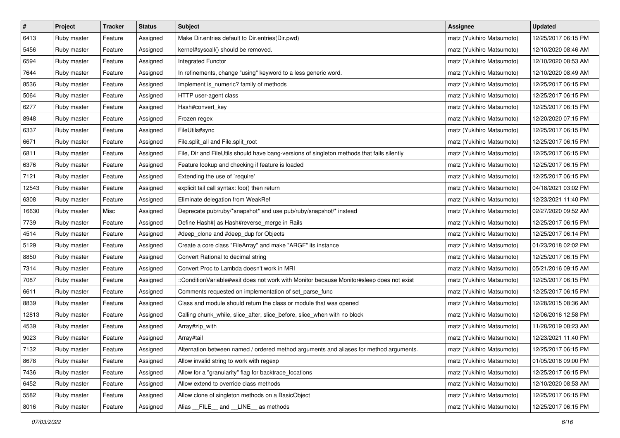| $\vert$ # | Project     | <b>Tracker</b> | <b>Status</b> | <b>Subject</b>                                                                             | <b>Assignee</b>           | <b>Updated</b>      |
|-----------|-------------|----------------|---------------|--------------------------------------------------------------------------------------------|---------------------------|---------------------|
| 6413      | Ruby master | Feature        | Assigned      | Make Dir.entries default to Dir.entries(Dir.pwd)                                           | matz (Yukihiro Matsumoto) | 12/25/2017 06:15 PM |
| 5456      | Ruby master | Feature        | Assigned      | kernel#syscall() should be removed.                                                        | matz (Yukihiro Matsumoto) | 12/10/2020 08:46 AM |
| 6594      | Ruby master | Feature        | Assigned      | Integrated Functor                                                                         | matz (Yukihiro Matsumoto) | 12/10/2020 08:53 AM |
| 7644      | Ruby master | Feature        | Assigned      | In refinements, change "using" keyword to a less generic word.                             | matz (Yukihiro Matsumoto) | 12/10/2020 08:49 AM |
| 8536      | Ruby master | Feature        | Assigned      | Implement is_numeric? family of methods                                                    | matz (Yukihiro Matsumoto) | 12/25/2017 06:15 PM |
| 5064      | Ruby master | Feature        | Assigned      | HTTP user-agent class                                                                      | matz (Yukihiro Matsumoto) | 12/25/2017 06:15 PM |
| 6277      | Ruby master | Feature        | Assigned      | Hash#convert_key                                                                           | matz (Yukihiro Matsumoto) | 12/25/2017 06:15 PM |
| 8948      | Ruby master | Feature        | Assigned      | Frozen regex                                                                               | matz (Yukihiro Matsumoto) | 12/20/2020 07:15 PM |
| 6337      | Ruby master | Feature        | Assigned      | FileUtils#sync                                                                             | matz (Yukihiro Matsumoto) | 12/25/2017 06:15 PM |
| 6671      | Ruby master | Feature        | Assigned      | File.split_all and File.split_root                                                         | matz (Yukihiro Matsumoto) | 12/25/2017 06:15 PM |
| 6811      | Ruby master | Feature        | Assigned      | File, Dir and FileUtils should have bang-versions of singleton methods that fails silently | matz (Yukihiro Matsumoto) | 12/25/2017 06:15 PM |
| 6376      | Ruby master | Feature        | Assigned      | Feature lookup and checking if feature is loaded                                           | matz (Yukihiro Matsumoto) | 12/25/2017 06:15 PM |
| 7121      | Ruby master | Feature        | Assigned      | Extending the use of `require'                                                             | matz (Yukihiro Matsumoto) | 12/25/2017 06:15 PM |
| 12543     | Ruby master | Feature        | Assigned      | explicit tail call syntax: foo() then return                                               | matz (Yukihiro Matsumoto) | 04/18/2021 03:02 PM |
| 6308      | Ruby master | Feature        | Assigned      | Eliminate delegation from WeakRef                                                          | matz (Yukihiro Matsumoto) | 12/23/2021 11:40 PM |
| 16630     | Ruby master | Misc           | Assigned      | Deprecate pub/ruby/*snapshot* and use pub/ruby/snapshot/* instead                          | matz (Yukihiro Matsumoto) | 02/27/2020 09:52 AM |
| 7739      | Ruby master | Feature        | Assigned      | Define Hash#  as Hash#reverse_merge in Rails                                               | matz (Yukihiro Matsumoto) | 12/25/2017 06:15 PM |
| 4514      | Ruby master | Feature        | Assigned      | #deep_clone and #deep_dup for Objects                                                      | matz (Yukihiro Matsumoto) | 12/25/2017 06:14 PM |
| 5129      | Ruby master | Feature        | Assigned      | Create a core class "FileArray" and make "ARGF" its instance                               | matz (Yukihiro Matsumoto) | 01/23/2018 02:02 PM |
| 8850      | Ruby master | Feature        | Assigned      | Convert Rational to decimal string                                                         | matz (Yukihiro Matsumoto) | 12/25/2017 06:15 PM |
| 7314      | Ruby master | Feature        | Assigned      | Convert Proc to Lambda doesn't work in MRI                                                 | matz (Yukihiro Matsumoto) | 05/21/2016 09:15 AM |
| 7087      | Ruby master | Feature        | Assigned      | ::ConditionVariable#wait does not work with Monitor because Monitor#sleep does not exist   | matz (Yukihiro Matsumoto) | 12/25/2017 06:15 PM |
| 6611      | Ruby master | Feature        | Assigned      | Comments requested on implementation of set_parse_func                                     | matz (Yukihiro Matsumoto) | 12/25/2017 06:15 PM |
| 8839      | Ruby master | Feature        | Assigned      | Class and module should return the class or module that was opened                         | matz (Yukihiro Matsumoto) | 12/28/2015 08:36 AM |
| 12813     | Ruby master | Feature        | Assigned      | Calling chunk_while, slice_after, slice_before, slice_when with no block                   | matz (Yukihiro Matsumoto) | 12/06/2016 12:58 PM |
| 4539      | Ruby master | Feature        | Assigned      | Array#zip_with                                                                             | matz (Yukihiro Matsumoto) | 11/28/2019 08:23 AM |
| 9023      | Ruby master | Feature        | Assigned      | Array#tail                                                                                 | matz (Yukihiro Matsumoto) | 12/23/2021 11:40 PM |
| 7132      | Ruby master | Feature        | Assigned      | Alternation between named / ordered method arguments and aliases for method arguments.     | matz (Yukihiro Matsumoto) | 12/25/2017 06:15 PM |
| 8678      | Ruby master | Feature        | Assigned      | Allow invalid string to work with regexp                                                   | matz (Yukihiro Matsumoto) | 01/05/2018 09:00 PM |
| 7436      | Ruby master | Feature        | Assigned      | Allow for a "granularity" flag for backtrace_locations                                     | matz (Yukihiro Matsumoto) | 12/25/2017 06:15 PM |
| 6452      | Ruby master | Feature        | Assigned      | Allow extend to override class methods                                                     | matz (Yukihiro Matsumoto) | 12/10/2020 08:53 AM |
| 5582      | Ruby master | Feature        | Assigned      | Allow clone of singleton methods on a BasicObject                                          | matz (Yukihiro Matsumoto) | 12/25/2017 06:15 PM |
| 8016      | Ruby master | Feature        | Assigned      | Alias __FILE__ and __LINE__ as methods                                                     | matz (Yukihiro Matsumoto) | 12/25/2017 06:15 PM |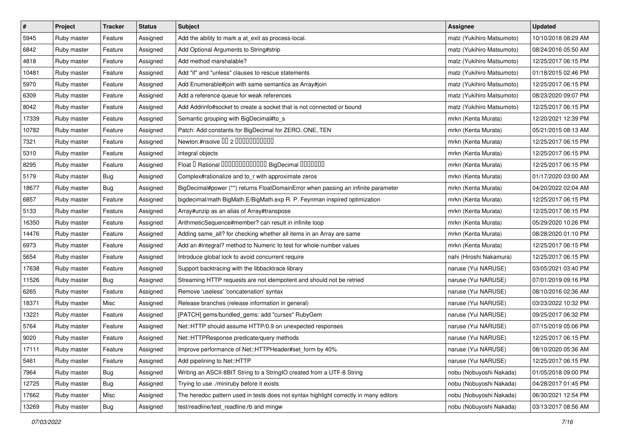| $\vert$ # | Project     | <b>Tracker</b> | <b>Status</b> | <b>Subject</b>                                                                        | <b>Assignee</b>           | <b>Updated</b>      |
|-----------|-------------|----------------|---------------|---------------------------------------------------------------------------------------|---------------------------|---------------------|
| 5945      | Ruby master | Feature        | Assigned      | Add the ability to mark a at_exit as process-local.                                   | matz (Yukihiro Matsumoto) | 10/10/2018 08:29 AM |
| 6842      | Ruby master | Feature        | Assigned      | Add Optional Arguments to String#strip                                                | matz (Yukihiro Matsumoto) | 08/24/2016 05:50 AM |
| 4818      | Ruby master | Feature        | Assigned      | Add method marshalable?                                                               | matz (Yukihiro Matsumoto) | 12/25/2017 06:15 PM |
| 10481     | Ruby master | Feature        | Assigned      | Add "if" and "unless" clauses to rescue statements                                    | matz (Yukihiro Matsumoto) | 01/18/2015 02:46 PM |
| 5970      | Ruby master | Feature        | Assigned      | Add Enumerable#join with same semantics as Array#join                                 | matz (Yukihiro Matsumoto) | 12/25/2017 06:15 PM |
| 6309      | Ruby master | Feature        | Assigned      | Add a reference queue for weak references                                             | matz (Yukihiro Matsumoto) | 08/23/2020 09:07 PM |
| 8042      | Ruby master | Feature        | Assigned      | Add Addrinfo#socket to create a socket that is not connected or bound                 | matz (Yukihiro Matsumoto) | 12/25/2017 06:15 PM |
| 17339     | Ruby master | Feature        | Assigned      | Semantic grouping with BigDecimal#to_s                                                | mrkn (Kenta Murata)       | 12/20/2021 12:39 PM |
| 10782     | Ruby master | Feature        | Assigned      | Patch: Add constants for BigDecimal for ZERO, ONE, TEN                                | mrkn (Kenta Murata)       | 05/21/2015 08:13 AM |
| 7321      | Ruby master | Feature        | Assigned      | Newton.#nsolve 00 2 0000000000                                                        | mrkn (Kenta Murata)       | 12/25/2017 06:15 PM |
| 5310      | Ruby master | Feature        | Assigned      | Integral objects                                                                      | mrkn (Kenta Murata)       | 12/25/2017 06:15 PM |
| 8295      | Ruby master | Feature        | Assigned      | Float I Rational 0000000000000 BigDecimal 0000000                                     | mrkn (Kenta Murata)       | 12/25/2017 06:15 PM |
| 5179      | Ruby master | <b>Bug</b>     | Assigned      | Complex#rationalize and to_r with approximate zeros                                   | mrkn (Kenta Murata)       | 01/17/2020 03:00 AM |
| 18677     | Ruby master | <b>Bug</b>     | Assigned      | BigDecimal#power (**) returns FloatDomainError when passing an infinite parameter     | mrkn (Kenta Murata)       | 04/20/2022 02:04 AM |
| 6857      | Ruby master | Feature        | Assigned      | bigdecimal/math BigMath.E/BigMath.exp R. P. Feynman inspired optimization             | mrkn (Kenta Murata)       | 12/25/2017 06:15 PM |
| 5133      | Ruby master | Feature        | Assigned      | Array#unzip as an alias of Array#transpose                                            | mrkn (Kenta Murata)       | 12/25/2017 06:15 PM |
| 16350     | Ruby master | Feature        | Assigned      | ArithmeticSequence#member? can result in infinite loop                                | mrkn (Kenta Murata)       | 05/29/2020 10:26 PM |
| 14476     | Ruby master | Feature        | Assigned      | Adding same_all? for checking whether all items in an Array are same                  | mrkn (Kenta Murata)       | 08/28/2020 01:10 PM |
| 6973      | Ruby master | Feature        | Assigned      | Add an #integral? method to Numeric to test for whole-number values                   | mrkn (Kenta Murata)       | 12/25/2017 06:15 PM |
| 5654      | Ruby master | Feature        | Assigned      | Introduce global lock to avoid concurrent require                                     | nahi (Hiroshi Nakamura)   | 12/25/2017 06:15 PM |
| 17638     | Ruby master | Feature        | Assigned      | Support backtracing with the libbacktrace library                                     | naruse (Yui NARUSE)       | 03/05/2021 03:40 PM |
| 11526     | Ruby master | <b>Bug</b>     | Assigned      | Streaming HTTP requests are not idempotent and should not be retried                  | naruse (Yui NARUSE)       | 07/01/2019 09:16 PM |
| 6265      | Ruby master | Feature        | Assigned      | Remove 'useless' 'concatenation' syntax                                               | naruse (Yui NARUSE)       | 08/10/2016 02:36 AM |
| 18371     | Ruby master | Misc           | Assigned      | Release branches (release information in general)                                     | naruse (Yui NARUSE)       | 03/23/2022 10:32 PM |
| 13221     | Ruby master | Feature        | Assigned      | [PATCH] gems/bundled_gems: add "curses" RubyGem                                       | naruse (Yui NARUSE)       | 09/25/2017 06:32 PM |
| 5764      | Ruby master | Feature        | Assigned      | Net::HTTP should assume HTTP/0.9 on unexpected responses                              | naruse (Yui NARUSE)       | 07/15/2019 05:06 PM |
| 9020      | Ruby master | Feature        | Assigned      | Net::HTTPResponse predicate/query methods                                             | naruse (Yui NARUSE)       | 12/25/2017 06:15 PM |
| 17111     | Ruby master | Feature        | Assigned      | Improve performance of Net::HTTPHeader#set_form by 40%                                | naruse (Yui NARUSE)       | 08/10/2020 05:36 AM |
| 5461      | Ruby master | Feature        | Assigned      | Add pipelining to Net::HTTP                                                           | naruse (Yui NARUSE)       | 12/25/2017 06:15 PM |
| 7964      | Ruby master | Bug            | Assigned      | Writing an ASCII-8BIT String to a StringIO created from a UTF-8 String                | nobu (Nobuyoshi Nakada)   | 01/05/2018 09:00 PM |
| 12725     | Ruby master | <b>Bug</b>     | Assigned      | Trying to use ./miniruby before it exists                                             | nobu (Nobuyoshi Nakada)   | 04/28/2017 01:45 PM |
| 17662     | Ruby master | Misc           | Assigned      | The heredoc pattern used in tests does not syntax highlight correctly in many editors | nobu (Nobuyoshi Nakada)   | 06/30/2021 12:54 PM |
| 13269     | Ruby master | Bug            | Assigned      | test/readline/test_readline.rb and mingw                                              | nobu (Nobuyoshi Nakada)   | 03/13/2017 08:56 AM |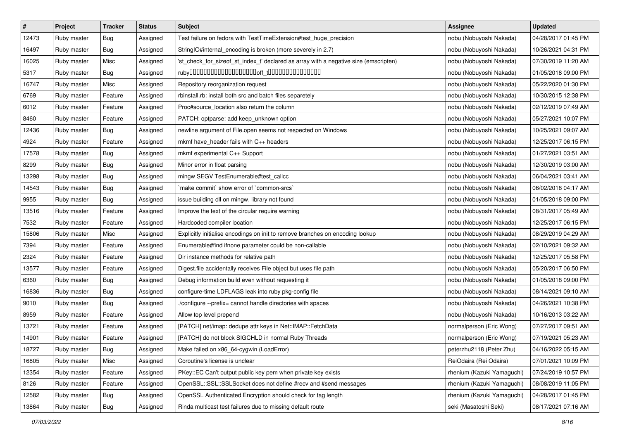| $\pmb{\#}$ | Project     | <b>Tracker</b> | <b>Status</b> | <b>Subject</b>                                                                       | <b>Assignee</b>            | <b>Updated</b>      |
|------------|-------------|----------------|---------------|--------------------------------------------------------------------------------------|----------------------------|---------------------|
| 12473      | Ruby master | <b>Bug</b>     | Assigned      | Test failure on fedora with TestTimeExtension#test_huge_precision                    | nobu (Nobuyoshi Nakada)    | 04/28/2017 01:45 PM |
| 16497      | Ruby master | Bug            | Assigned      | StringIO#internal_encoding is broken (more severely in 2.7)                          | nobu (Nobuyoshi Nakada)    | 10/26/2021 04:31 PM |
| 16025      | Ruby master | Misc           | Assigned      | 'st_check_for_sizeof_st_index_t' declared as array with a negative size (emscripten) | nobu (Nobuyoshi Nakada)    | 07/30/2019 11:20 AM |
| 5317       | Ruby master | <b>Bug</b>     | Assigned      |                                                                                      | nobu (Nobuyoshi Nakada)    | 01/05/2018 09:00 PM |
| 16747      | Ruby master | Misc           | Assigned      | Repository reorganization request                                                    | nobu (Nobuyoshi Nakada)    | 05/22/2020 01:30 PM |
| 6769       | Ruby master | Feature        | Assigned      | rbinstall.rb: install both src and batch files separetely                            | nobu (Nobuyoshi Nakada)    | 10/30/2015 12:38 PM |
| 6012       | Ruby master | Feature        | Assigned      | Proc#source_location also return the column                                          | nobu (Nobuyoshi Nakada)    | 02/12/2019 07:49 AM |
| 8460       | Ruby master | Feature        | Assigned      | PATCH: optparse: add keep_unknown option                                             | nobu (Nobuyoshi Nakada)    | 05/27/2021 10:07 PM |
| 12436      | Ruby master | <b>Bug</b>     | Assigned      | newline argument of File.open seems not respected on Windows                         | nobu (Nobuyoshi Nakada)    | 10/25/2021 09:07 AM |
| 4924       | Ruby master | Feature        | Assigned      | mkmf have_header fails with C++ headers                                              | nobu (Nobuyoshi Nakada)    | 12/25/2017 06:15 PM |
| 17578      | Ruby master | <b>Bug</b>     | Assigned      | mkmf experimental C++ Support                                                        | nobu (Nobuyoshi Nakada)    | 01/27/2021 03:51 AM |
| 8299       | Ruby master | <b>Bug</b>     | Assigned      | Minor error in float parsing                                                         | nobu (Nobuyoshi Nakada)    | 12/30/2019 03:00 AM |
| 13298      | Ruby master | <b>Bug</b>     | Assigned      | mingw SEGV TestEnumerable#test_callcc                                                | nobu (Nobuyoshi Nakada)    | 06/04/2021 03:41 AM |
| 14543      | Ruby master | <b>Bug</b>     | Assigned      | 'make commit' show error of 'common-srcs'                                            | nobu (Nobuyoshi Nakada)    | 06/02/2018 04:17 AM |
| 9955       | Ruby master | <b>Bug</b>     | Assigned      | issue building dll on mingw, library not found                                       | nobu (Nobuyoshi Nakada)    | 01/05/2018 09:00 PM |
| 13516      | Ruby master | Feature        | Assigned      | Improve the text of the circular require warning                                     | nobu (Nobuyoshi Nakada)    | 08/31/2017 05:49 AM |
| 7532       | Ruby master | Feature        | Assigned      | Hardcoded compiler location                                                          | nobu (Nobuyoshi Nakada)    | 12/25/2017 06:15 PM |
| 15806      | Ruby master | Misc           | Assigned      | Explicitly initialise encodings on init to remove branches on encoding lookup        | nobu (Nobuyoshi Nakada)    | 08/29/2019 04:29 AM |
| 7394       | Ruby master | Feature        | Assigned      | Enumerable#find ifnone parameter could be non-callable                               | nobu (Nobuyoshi Nakada)    | 02/10/2021 09:32 AM |
| 2324       | Ruby master | Feature        | Assigned      | Dir instance methods for relative path                                               | nobu (Nobuyoshi Nakada)    | 12/25/2017 05:58 PM |
| 13577      | Ruby master | Feature        | Assigned      | Digest file accidentally receives File object but uses file path                     | nobu (Nobuyoshi Nakada)    | 05/20/2017 06:50 PM |
| 6360       | Ruby master | <b>Bug</b>     | Assigned      | Debug information build even without requesting it                                   | nobu (Nobuyoshi Nakada)    | 01/05/2018 09:00 PM |
| 16836      | Ruby master | <b>Bug</b>     | Assigned      | configure-time LDFLAGS leak into ruby pkg-config file                                | nobu (Nobuyoshi Nakada)    | 08/14/2021 09:10 AM |
| 9010       | Ruby master | <b>Bug</b>     | Assigned      | ./configure --prefix= cannot handle directories with spaces                          | nobu (Nobuyoshi Nakada)    | 04/26/2021 10:38 PM |
| 8959       | Ruby master | Feature        | Assigned      | Allow top level prepend                                                              | nobu (Nobuyoshi Nakada)    | 10/16/2013 03:22 AM |
| 13721      | Ruby master | Feature        | Assigned      | [PATCH] net/imap: dedupe attr keys in Net::IMAP::FetchData                           | normalperson (Eric Wong)   | 07/27/2017 09:51 AM |
| 14901      | Ruby master | Feature        | Assigned      | [PATCH] do not block SIGCHLD in normal Ruby Threads                                  | normalperson (Eric Wong)   | 07/19/2021 05:23 AM |
| 18727      | Ruby master | <b>Bug</b>     | Assigned      | Make failed on x86_64-cygwin (LoadError)                                             | peterzhu2118 (Peter Zhu)   | 04/16/2022 05:15 AM |
| 16805      | Ruby master | Misc           | Assigned      | Coroutine's license is unclear                                                       | ReiOdaira (Rei Odaira)     | 07/01/2021 10:09 PM |
| 12354      | Ruby master | Feature        | Assigned      | PKey::EC Can't output public key pem when private key exists                         | rhenium (Kazuki Yamaguchi) | 07/24/2019 10:57 PM |
| 8126       | Ruby master | Feature        | Assigned      | OpenSSL::SSL::SSLSocket does not define #recv and #send messages                     | rhenium (Kazuki Yamaguchi) | 08/08/2019 11:05 PM |
| 12582      | Ruby master | <b>Bug</b>     | Assigned      | OpenSSL Authenticated Encryption should check for tag length                         | rhenium (Kazuki Yamaguchi) | 04/28/2017 01:45 PM |
| 13864      | Ruby master | Bug            | Assigned      | Rinda multicast test failures due to missing default route                           | seki (Masatoshi Seki)      | 08/17/2021 07:16 AM |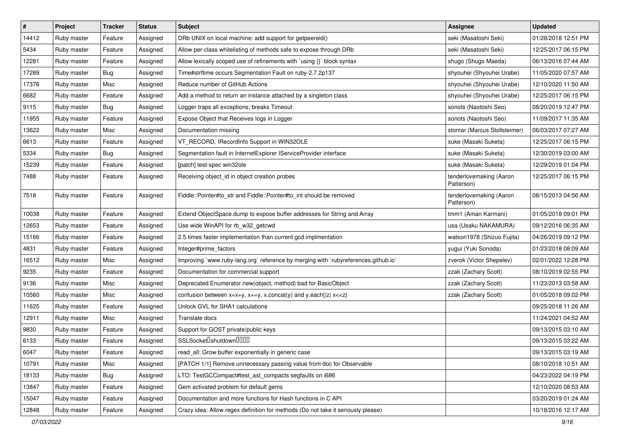| $\pmb{\#}$ | Project     | <b>Tracker</b> | <b>Status</b> | Subject                                                                            | <b>Assignee</b>                       | <b>Updated</b>      |
|------------|-------------|----------------|---------------|------------------------------------------------------------------------------------|---------------------------------------|---------------------|
| 14412      | Ruby master | Feature        | Assigned      | DRb UNIX on local machine: add support for getpeereid()                            | seki (Masatoshi Seki)                 | 01/28/2018 12:51 PM |
| 5434       | Ruby master | Feature        | Assigned      | Allow per-class whitelisting of methods safe to expose through DRb                 | seki (Masatoshi Seki)                 | 12/25/2017 06:15 PM |
| 12281      | Ruby master | Feature        | Assigned      | Allow lexically scoped use of refinements with `using {}` block syntax             | shugo (Shugo Maeda)                   | 06/13/2016 07:44 AM |
| 17289      | Ruby master | <b>Bug</b>     | Assigned      | Time#strftime occurs Segmentation Fault on ruby-2.7.2p137                          | shyouhei (Shyouhei Urabe)             | 11/05/2020 07:57 AM |
| 17376      | Ruby master | Misc           | Assigned      | Reduce number of GitHub Actions                                                    | shyouhei (Shyouhei Urabe)             | 12/10/2020 11:50 AM |
| 6682       | Ruby master | Feature        | Assigned      | Add a method to return an instance attached by a singleton class                   | shyouhei (Shyouhei Urabe)             | 12/25/2017 06:15 PM |
| 9115       | Ruby master | <b>Bug</b>     | Assigned      | Logger traps all exceptions; breaks Timeout                                        | sonots (Naotoshi Seo)                 | 08/20/2019 12:47 PM |
| 11955      | Ruby master | Feature        | Assigned      | Expose Object that Receives logs in Logger                                         | sonots (Naotoshi Seo)                 | 11/09/2017 11:35 AM |
| 13622      | Ruby master | Misc           | Assigned      | Documentation missing                                                              | stomar (Marcus Stollsteimer)          | 06/03/2017 07:27 AM |
| 6613       | Ruby master | Feature        | Assigned      | VT_RECORD, IRecordInfo Support in WIN32OLE                                         | suke (Masaki Suketa)                  | 12/25/2017 06:15 PM |
| 5334       | Ruby master | Bug            | Assigned      | Segmentation fault in InternetExplorer IServiceProvider interface                  | suke (Masaki Suketa)                  | 12/30/2019 03:00 AM |
| 15239      | Ruby master | Feature        | Assigned      | [patch] test-spec win32ole                                                         | suke (Masaki Suketa)                  | 12/29/2019 01:04 PM |
| 7488       | Ruby master | Feature        | Assigned      | Receiving object_id in object creation probes                                      | tenderlovemaking (Aaron<br>Patterson) | 12/25/2017 06:15 PM |
| 7518       | Ruby master | Feature        | Assigned      | Fiddle::Pointer#to_str and Fiddle::Pointer#to_int should be removed                | tenderlovemaking (Aaron<br>Patterson) | 08/15/2013 04:56 AM |
| 10038      | Ruby master | Feature        | Assigned      | Extend ObjectSpace.dump to expose buffer addresses for String and Array            | tmm1 (Aman Karmani)                   | 01/05/2018 09:01 PM |
| 12653      | Ruby master | Feature        | Assigned      | Use wide WinAPI for rb_w32_getcwd                                                  | usa (Usaku NAKAMURA)                  | 09/12/2016 06:35 AM |
| 15166      | Ruby master | Feature        | Assigned      | 2.5 times faster implementation than current gcd implmentation                     | watson1978 (Shizuo Fujita)            | 04/26/2019 09:12 PM |
| 4831       | Ruby master | Feature        | Assigned      | Integer#prime_factors                                                              | yugui (Yuki Sonoda)                   | 01/23/2018 08:09 AM |
| 16512      | Ruby master | Misc           | Assigned      | Improving `www.ruby-lang.org` reference by merging with `rubyreferences.github.io` | zverok (Victor Shepelev)              | 02/01/2022 12:28 PM |
| 9235       | Ruby master | Feature        | Assigned      | Documentation for commercial support                                               | zzak (Zachary Scott)                  | 08/10/2019 02:55 PM |
| 9136       | Ruby master | Misc           | Assigned      | Deprecated Enumerator.new(object, method) bad for BasicObject                      | zzak (Zachary Scott)                  | 11/23/2013 03:58 AM |
| 10560      | Ruby master | Misc           | Assigned      | confusion between $x=x+y$ , $x+=y$ , x.concat(y) and y.each{ z  $x<}$              | zzak (Zachary Scott)                  | 01/05/2018 09:02 PM |
| 11625      | Ruby master | Feature        | Assigned      | Unlock GVL for SHA1 calculations                                                   |                                       | 09/25/2018 11:26 AM |
| 12911      | Ruby master | Misc           | Assigned      | Translate docs                                                                     |                                       | 11/24/2021 04:52 AM |
| 9830       | Ruby master | Feature        | Assigned      | Support for GOST private/public keys                                               |                                       | 09/13/2015 03:10 AM |
| 6133       | Ruby master | Feature        | Assigned      | SSLSocket <sup>[]</sup> shutdown <sup>[][][]</sup>                                 |                                       | 09/13/2015 03:22 AM |
| 6047       | Ruby master | Feature        | Assigned      | read_all: Grow buffer exponentially in generic case                                |                                       | 09/13/2015 03:19 AM |
| 10791      | Ruby master | Misc           | Assigned      | [PATCH 1/1] Remove unnecessary passing value from doc for Observable               |                                       | 08/10/2018 10:51 AM |
| 18133      | Ruby master | <b>Bug</b>     | Assigned      | LTO: TestGCCompact#test_ast_compacts segfaults on i686                             |                                       | 04/23/2022 04:19 PM |
| 13847      | Ruby master | Feature        | Assigned      | Gem activated problem for default gems                                             |                                       | 12/10/2020 08:53 AM |
| 15047      | Ruby master | Feature        | Assigned      | Documentation and more functions for Hash functions in C API                       |                                       | 03/20/2019 01:24 AM |
| 12848      | Ruby master | Feature        | Assigned      | Crazy idea: Allow regex definition for methods (Do not take it seriously please)   |                                       | 10/18/2016 12:17 AM |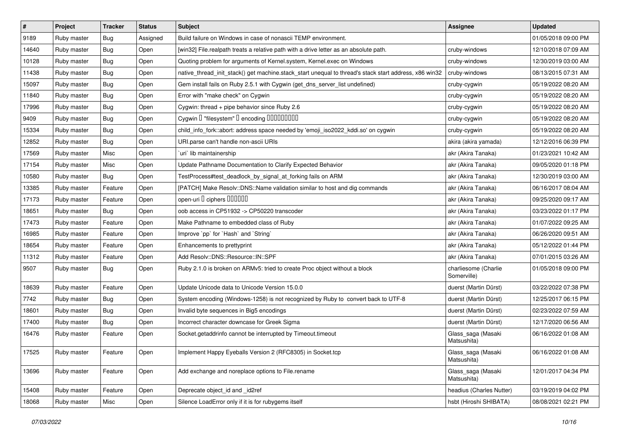| $\vert$ # | Project     | <b>Tracker</b> | <b>Status</b> | <b>Subject</b>                                                                                        | <b>Assignee</b>                     | <b>Updated</b>      |
|-----------|-------------|----------------|---------------|-------------------------------------------------------------------------------------------------------|-------------------------------------|---------------------|
| 9189      | Ruby master | <b>Bug</b>     | Assigned      | Build failure on Windows in case of nonascii TEMP environment.                                        |                                     | 01/05/2018 09:00 PM |
| 14640     | Ruby master | Bug            | Open          | [win32] File.realpath treats a relative path with a drive letter as an absolute path.                 | cruby-windows                       | 12/10/2018 07:09 AM |
| 10128     | Ruby master | Bug            | Open          | Quoting problem for arguments of Kernel.system, Kernel.exec on Windows                                | cruby-windows                       | 12/30/2019 03:00 AM |
| 11438     | Ruby master | <b>Bug</b>     | Open          | native_thread_init_stack() get machine.stack_start unequal to thread's stack start address, x86 win32 | cruby-windows                       | 08/13/2015 07:31 AM |
| 15097     | Ruby master | <b>Bug</b>     | Open          | Gem install fails on Ruby 2.5.1 with Cygwin (get_dns_server_list undefined)                           | cruby-cygwin                        | 05/19/2022 08:20 AM |
| 11840     | Ruby master | <b>Bug</b>     | Open          | Error with "make check" on Cygwin                                                                     | cruby-cygwin                        | 05/19/2022 08:20 AM |
| 17996     | Ruby master | <b>Bug</b>     | Open          | Cygwin: thread + pipe behavior since Ruby 2.6                                                         | cruby-cygwin                        | 05/19/2022 08:20 AM |
| 9409      | Ruby master | Bug            | Open          | Cygwin I "filesystem" I encoding IIIIIIIIIIIII                                                        | cruby-cygwin                        | 05/19/2022 08:20 AM |
| 15334     | Ruby master | Bug            | Open          | child_info_fork::abort: address space needed by 'emoji_iso2022_kddi.so' on cygwin                     | cruby-cygwin                        | 05/19/2022 08:20 AM |
| 12852     | Ruby master | <b>Bug</b>     | Open          | URI.parse can't handle non-ascii URIs                                                                 | akira (akira yamada)                | 12/12/2016 06:39 PM |
| 17569     | Ruby master | Misc           | Open          | uri lib maintainership                                                                                | akr (Akira Tanaka)                  | 01/23/2021 10:42 AM |
| 17154     | Ruby master | Misc           | Open          | Update Pathname Documentation to Clarify Expected Behavior                                            | akr (Akira Tanaka)                  | 09/05/2020 01:18 PM |
| 10580     | Ruby master | Bug            | Open          | TestProcess#test_deadlock_by_signal_at_forking fails on ARM                                           | akr (Akira Tanaka)                  | 12/30/2019 03:00 AM |
| 13385     | Ruby master | Feature        | Open          | [PATCH] Make Resolv::DNS::Name validation similar to host and dig commands                            | akr (Akira Tanaka)                  | 06/16/2017 08:04 AM |
| 17173     | Ruby master | Feature        | Open          | open-uri I ciphers IIIIIII                                                                            | akr (Akira Tanaka)                  | 09/25/2020 09:17 AM |
| 18651     | Ruby master | Bug            | Open          | oob access in CP51932 -> CP50220 transcoder                                                           | akr (Akira Tanaka)                  | 03/23/2022 01:17 PM |
| 17473     | Ruby master | Feature        | Open          | Make Pathname to embedded class of Ruby                                                               | akr (Akira Tanaka)                  | 01/07/2022 09:25 AM |
| 16985     | Ruby master | Feature        | Open          | Improve `pp` for `Hash` and `String`                                                                  | akr (Akira Tanaka)                  | 06/26/2020 09:51 AM |
| 18654     | Ruby master | Feature        | Open          | Enhancements to prettyprint                                                                           | akr (Akira Tanaka)                  | 05/12/2022 01:44 PM |
| 11312     | Ruby master | Feature        | Open          | Add Resolv::DNS::Resource::IN::SPF                                                                    | akr (Akira Tanaka)                  | 07/01/2015 03:26 AM |
| 9507      | Ruby master | Bug            | Open          | Ruby 2.1.0 is broken on ARMv5: tried to create Proc object without a block                            | charliesome (Charlie<br>Somerville) | 01/05/2018 09:00 PM |
| 18639     | Ruby master | Feature        | Open          | Update Unicode data to Unicode Version 15.0.0                                                         | duerst (Martin Dürst)               | 03/22/2022 07:38 PM |
| 7742      | Ruby master | Bug            | Open          | System encoding (Windows-1258) is not recognized by Ruby to convert back to UTF-8                     | duerst (Martin Dürst)               | 12/25/2017 06:15 PM |
| 18601     | Ruby master | <b>Bug</b>     | Open          | Invalid byte sequences in Big5 encodings                                                              | duerst (Martin Dürst)               | 02/23/2022 07:59 AM |
| 17400     | Ruby master | Bug            | Open          | Incorrect character downcase for Greek Sigma                                                          | duerst (Martin Dürst)               | 12/17/2020 06:56 AM |
| 16476     | Ruby master | Feature        | Open          | Socket.getaddrinfo cannot be interrupted by Timeout.timeout                                           | Glass_saga (Masaki<br>Matsushita)   | 06/16/2022 01:08 AM |
| 17525     | Ruby master | Feature        | Open          | Implement Happy Eyeballs Version 2 (RFC8305) in Socket.tcp                                            | Glass_saga (Masaki<br>Matsushita)   | 06/16/2022 01:08 AM |
| 13696     | Ruby master | Feature        | Open          | Add exchange and noreplace options to File.rename                                                     | Glass_saga (Masaki<br>Matsushita)   | 12/01/2017 04:34 PM |
| 15408     | Ruby master | Feature        | Open          | Deprecate object_id and _id2ref                                                                       | headius (Charles Nutter)            | 03/19/2019 04:02 PM |
| 18068     | Ruby master | Misc           | Open          | Silence LoadError only if it is for rubygems itself                                                   | hsbt (Hiroshi SHIBATA)              | 08/08/2021 02:21 PM |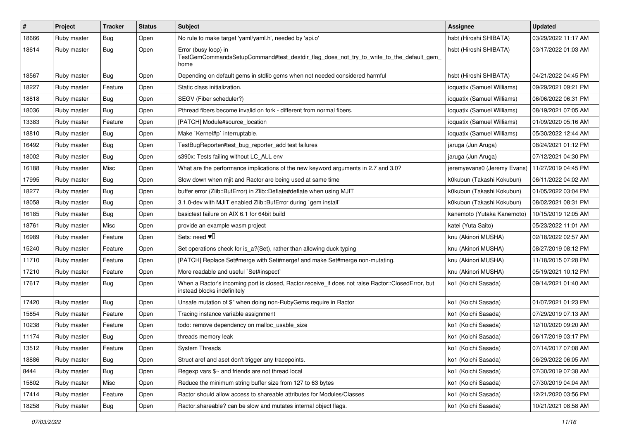| $\pmb{\#}$ | Project     | <b>Tracker</b> | <b>Status</b> | <b>Subject</b>                                                                                                                    | Assignee                    | <b>Updated</b>      |
|------------|-------------|----------------|---------------|-----------------------------------------------------------------------------------------------------------------------------------|-----------------------------|---------------------|
| 18666      | Ruby master | <b>Bug</b>     | Open          | No rule to make target 'yaml/yaml.h', needed by 'api.o'                                                                           | hsbt (Hiroshi SHIBATA)      | 03/29/2022 11:17 AM |
| 18614      | Ruby master | Bug            | Open          | Error (busy loop) in<br>TestGemCommandsSetupCommand#test_destdir_flag_does_not_try_to_write_to_the_default_gem_<br>home           | hsbt (Hiroshi SHIBATA)      | 03/17/2022 01:03 AM |
| 18567      | Ruby master | Bug            | Open          | Depending on default gems in stdlib gems when not needed considered harmful                                                       | hsbt (Hiroshi SHIBATA)      | 04/21/2022 04:45 PM |
| 18227      | Ruby master | Feature        | Open          | Static class initialization.                                                                                                      | ioquatix (Samuel Williams)  | 09/29/2021 09:21 PM |
| 18818      | Ruby master | Bug            | Open          | SEGV (Fiber scheduler?)                                                                                                           | ioquatix (Samuel Williams)  | 06/06/2022 06:31 PM |
| 18036      | Ruby master | Bug            | Open          | Pthread fibers become invalid on fork - different from normal fibers.                                                             | ioquatix (Samuel Williams)  | 08/19/2021 07:05 AM |
| 13383      | Ruby master | Feature        | Open          | [PATCH] Module#source_location                                                                                                    | ioquatix (Samuel Williams)  | 01/09/2020 05:16 AM |
| 18810      | Ruby master | Bug            | Open          | Make `Kernel#p` interruptable.                                                                                                    | ioquatix (Samuel Williams)  | 05/30/2022 12:44 AM |
| 16492      | Ruby master | Bug            | Open          | TestBugReporter#test_bug_reporter_add test failures                                                                               | jaruga (Jun Aruga)          | 08/24/2021 01:12 PM |
| 18002      | Ruby master | <b>Bug</b>     | Open          | s390x: Tests failing without LC_ALL env                                                                                           | jaruga (Jun Aruga)          | 07/12/2021 04:30 PM |
| 16188      | Ruby master | Misc           | Open          | What are the performance implications of the new keyword arguments in 2.7 and 3.0?                                                | jeremyevans0 (Jeremy Evans) | 11/27/2019 04:45 PM |
| 17995      | Ruby master | <b>Bug</b>     | Open          | Slow down when mjit and Ractor are being used at same time                                                                        | k0kubun (Takashi Kokubun)   | 06/11/2022 04:02 AM |
| 18277      | Ruby master | <b>Bug</b>     | Open          | buffer error (Zlib::BufError) in Zlib::Deflate#deflate when using MJIT                                                            | k0kubun (Takashi Kokubun)   | 01/05/2022 03:04 PM |
| 18058      | Ruby master | Bug            | Open          | 3.1.0-dev with MJIT enabled Zlib::BufError during `gem install`                                                                   | k0kubun (Takashi Kokubun)   | 08/02/2021 08:31 PM |
| 16185      | Ruby master | <b>Bug</b>     | Open          | basictest failure on AIX 6.1 for 64bit build                                                                                      | kanemoto (Yutaka Kanemoto)  | 10/15/2019 12:05 AM |
| 18761      | Ruby master | Misc           | Open          | provide an example wasm project                                                                                                   | katei (Yuta Saito)          | 05/23/2022 11:01 AM |
| 16989      | Ruby master | Feature        | Open          | Sets: need $\Psi$                                                                                                                 | knu (Akinori MUSHA)         | 02/18/2022 02:57 AM |
| 15240      | Ruby master | Feature        | Open          | Set operations check for is_a?(Set), rather than allowing duck typing                                                             | knu (Akinori MUSHA)         | 08/27/2019 08:12 PM |
| 11710      | Ruby master | Feature        | Open          | [PATCH] Replace Set#merge with Set#merge! and make Set#merge non-mutating.                                                        | knu (Akinori MUSHA)         | 11/18/2015 07:28 PM |
| 17210      | Ruby master | Feature        | Open          | More readable and useful `Set#inspect`                                                                                            | knu (Akinori MUSHA)         | 05/19/2021 10:12 PM |
| 17617      | Ruby master | Bug            | Open          | When a Ractor's incoming port is closed, Ractor.receive_if does not raise Ractor::ClosedError, but<br>instead blocks indefinitely | ko1 (Koichi Sasada)         | 09/14/2021 01:40 AM |
| 17420      | Ruby master | Bug            | Open          | Unsafe mutation of \$" when doing non-RubyGems require in Ractor                                                                  | ko1 (Koichi Sasada)         | 01/07/2021 01:23 PM |
| 15854      | Ruby master | Feature        | Open          | Tracing instance variable assignment                                                                                              | ko1 (Koichi Sasada)         | 07/29/2019 07:13 AM |
| 10238      | Ruby master | Feature        | Open          | todo: remove dependency on malloc_usable_size                                                                                     | ko1 (Koichi Sasada)         | 12/10/2020 09:20 AM |
| 11174      | Ruby master | <b>Bug</b>     | Open          | threads memory leak                                                                                                               | ko1 (Koichi Sasada)         | 06/17/2019 03:17 PM |
| 13512      | Ruby master | Feature        | Open          | System Threads                                                                                                                    | ko1 (Koichi Sasada)         | 07/14/2017 07:08 AM |
| 18886      | Ruby master | Bug            | Open          | Struct aref and aset don't trigger any tracepoints.                                                                               | ko1 (Koichi Sasada)         | 06/29/2022 06:05 AM |
| 8444       | Ruby master | Bug            | Open          | Regexp vars \$~ and friends are not thread local                                                                                  | ko1 (Koichi Sasada)         | 07/30/2019 07:38 AM |
| 15802      | Ruby master | Misc           | Open          | Reduce the minimum string buffer size from 127 to 63 bytes                                                                        | ko1 (Koichi Sasada)         | 07/30/2019 04:04 AM |
| 17414      | Ruby master | Feature        | Open          | Ractor should allow access to shareable attributes for Modules/Classes                                                            | ko1 (Koichi Sasada)         | 12/21/2020 03:56 PM |
| 18258      | Ruby master | Bug            | Open          | Ractor shareable? can be slow and mutates internal object flags.                                                                  | ko1 (Koichi Sasada)         | 10/21/2021 08:58 AM |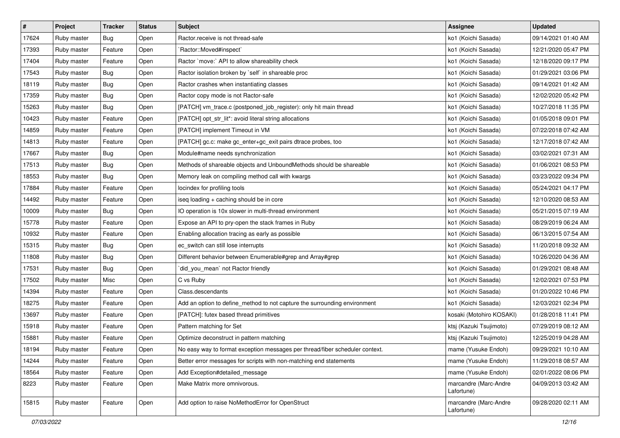| $\sharp$ | Project     | <b>Tracker</b> | <b>Status</b> | Subject                                                                      | Assignee                            | <b>Updated</b>      |
|----------|-------------|----------------|---------------|------------------------------------------------------------------------------|-------------------------------------|---------------------|
| 17624    | Ruby master | Bug            | Open          | Ractor.receive is not thread-safe                                            | ko1 (Koichi Sasada)                 | 09/14/2021 01:40 AM |
| 17393    | Ruby master | Feature        | Open          | `Ractor::Moved#inspect`                                                      | ko1 (Koichi Sasada)                 | 12/21/2020 05:47 PM |
| 17404    | Ruby master | Feature        | Open          | Ractor `move:` API to allow shareability check                               | ko1 (Koichi Sasada)                 | 12/18/2020 09:17 PM |
| 17543    | Ruby master | Bug            | Open          | Ractor isolation broken by `self` in shareable proc                          | ko1 (Koichi Sasada)                 | 01/29/2021 03:06 PM |
| 18119    | Ruby master | <b>Bug</b>     | Open          | Ractor crashes when instantiating classes                                    | ko1 (Koichi Sasada)                 | 09/14/2021 01:42 AM |
| 17359    | Ruby master | Bug            | Open          | Ractor copy mode is not Ractor-safe                                          | ko1 (Koichi Sasada)                 | 12/02/2020 05:42 PM |
| 15263    | Ruby master | Bug            | Open          | [PATCH] vm_trace.c (postponed_job_register): only hit main thread            | ko1 (Koichi Sasada)                 | 10/27/2018 11:35 PM |
| 10423    | Ruby master | Feature        | Open          | [PATCH] opt_str_lit*: avoid literal string allocations                       | ko1 (Koichi Sasada)                 | 01/05/2018 09:01 PM |
| 14859    | Ruby master | Feature        | Open          | [PATCH] implement Timeout in VM                                              | ko1 (Koichi Sasada)                 | 07/22/2018 07:42 AM |
| 14813    | Ruby master | Feature        | Open          | [PATCH] gc.c: make gc_enter+gc_exit pairs dtrace probes, too                 | ko1 (Koichi Sasada)                 | 12/17/2018 07:42 AM |
| 17667    | Ruby master | Bug            | Open          | Module#name needs synchronization                                            | ko1 (Koichi Sasada)                 | 03/02/2021 07:31 AM |
| 17513    | Ruby master | Bug            | Open          | Methods of shareable objects and UnboundMethods should be shareable          | ko1 (Koichi Sasada)                 | 01/06/2021 08:53 PM |
| 18553    | Ruby master | Bug            | Open          | Memory leak on compiling method call with kwargs                             | ko1 (Koichi Sasada)                 | 03/23/2022 09:34 PM |
| 17884    | Ruby master | Feature        | Open          | locindex for profiling tools                                                 | ko1 (Koichi Sasada)                 | 05/24/2021 04:17 PM |
| 14492    | Ruby master | Feature        | Open          | iseq loading + caching should be in core                                     | ko1 (Koichi Sasada)                 | 12/10/2020 08:53 AM |
| 10009    | Ruby master | Bug            | Open          | IO operation is 10x slower in multi-thread environment                       | ko1 (Koichi Sasada)                 | 05/21/2015 07:19 AM |
| 15778    | Ruby master | Feature        | Open          | Expose an API to pry-open the stack frames in Ruby                           | ko1 (Koichi Sasada)                 | 08/29/2019 06:24 AM |
| 10932    | Ruby master | Feature        | Open          | Enabling allocation tracing as early as possible                             | ko1 (Koichi Sasada)                 | 06/13/2015 07:54 AM |
| 15315    | Ruby master | Bug            | Open          | ec_switch can still lose interrupts                                          | ko1 (Koichi Sasada)                 | 11/20/2018 09:32 AM |
| 11808    | Ruby master | Bug            | Open          | Different behavior between Enumerable#grep and Array#grep                    | ko1 (Koichi Sasada)                 | 10/26/2020 04:36 AM |
| 17531    | Ruby master | Bug            | Open          | did_you_mean' not Ractor friendly                                            | ko1 (Koichi Sasada)                 | 01/29/2021 08:48 AM |
| 17502    | Ruby master | Misc           | Open          | C vs Ruby                                                                    | ko1 (Koichi Sasada)                 | 12/02/2021 07:53 PM |
| 14394    | Ruby master | Feature        | Open          | Class.descendants                                                            | ko1 (Koichi Sasada)                 | 01/20/2022 10:46 PM |
| 18275    | Ruby master | Feature        | Open          | Add an option to define_method to not capture the surrounding environment    | ko1 (Koichi Sasada)                 | 12/03/2021 02:34 PM |
| 13697    | Ruby master | Feature        | Open          | [PATCH]: futex based thread primitives                                       | kosaki (Motohiro KOSAKI)            | 01/28/2018 11:41 PM |
| 15918    | Ruby master | Feature        | Open          | Pattern matching for Set                                                     | ktsj (Kazuki Tsujimoto)             | 07/29/2019 08:12 AM |
| 15881    | Ruby master | Feature        | Open          | Optimize deconstruct in pattern matching                                     | ktsj (Kazuki Tsujimoto)             | 12/25/2019 04:28 AM |
| 18194    | Ruby master | Feature        | Open          | No easy way to format exception messages per thread/fiber scheduler context. | mame (Yusuke Endoh)                 | 09/29/2021 10:10 AM |
| 14244    | Ruby master | Feature        | Open          | Better error messages for scripts with non-matching end statements           | mame (Yusuke Endoh)                 | 11/29/2018 08:57 AM |
| 18564    | Ruby master | Feature        | Open          | Add Exception#detailed_message                                               | mame (Yusuke Endoh)                 | 02/01/2022 08:06 PM |
| 8223     | Ruby master | Feature        | Open          | Make Matrix more omnivorous.                                                 | marcandre (Marc-Andre<br>Lafortune) | 04/09/2013 03:42 AM |
| 15815    | Ruby master | Feature        | Open          | Add option to raise NoMethodError for OpenStruct                             | marcandre (Marc-Andre<br>Lafortune) | 09/28/2020 02:11 AM |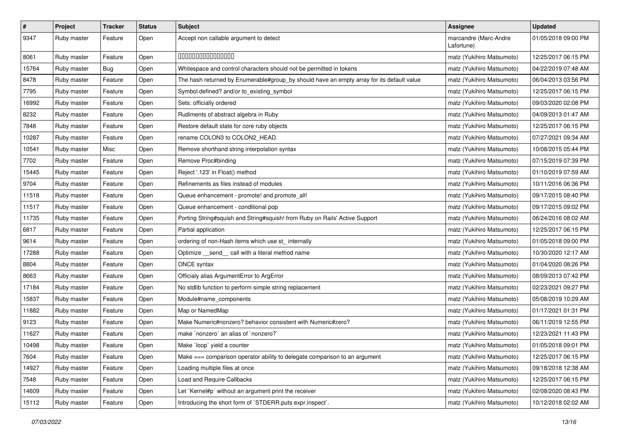| $\pmb{\#}$ | Project     | <b>Tracker</b> | <b>Status</b> | <b>Subject</b>                                                                            | Assignee                            | <b>Updated</b>      |
|------------|-------------|----------------|---------------|-------------------------------------------------------------------------------------------|-------------------------------------|---------------------|
| 9347       | Ruby master | Feature        | Open          | Accept non callable argument to detect                                                    | marcandre (Marc-Andre<br>Lafortune) | 01/05/2018 09:00 PM |
| 8061       | Ruby master | Feature        | Open          | 000000000000000                                                                           | matz (Yukihiro Matsumoto)           | 12/25/2017 06:15 PM |
| 15764      | Ruby master | Bug            | Open          | Whitespace and control characters should not be permitted in tokens                       | matz (Yukihiro Matsumoto)           | 04/22/2019 07:48 AM |
| 8478       | Ruby master | Feature        | Open          | The hash returned by Enumerable#group_by should have an empty array for its default value | matz (Yukihiro Matsumoto)           | 06/04/2013 03:56 PM |
| 7795       | Ruby master | Feature        | Open          | Symbol.defined? and/or to_existing_symbol                                                 | matz (Yukihiro Matsumoto)           | 12/25/2017 06:15 PM |
| 16992      | Ruby master | Feature        | Open          | Sets: officially ordered                                                                  | matz (Yukihiro Matsumoto)           | 09/03/2020 02:08 PM |
| 8232       | Ruby master | Feature        | Open          | Rudiments of abstract algebra in Ruby                                                     | matz (Yukihiro Matsumoto)           | 04/09/2013 01:47 AM |
| 7848       | Ruby master | Feature        | Open          | Restore default state for core ruby objects                                               | matz (Yukihiro Matsumoto)           | 12/25/2017 06:15 PM |
| 10287      | Ruby master | Feature        | Open          | rename COLON3 to COLON2_HEAD.                                                             | matz (Yukihiro Matsumoto)           | 07/27/2021 09:34 AM |
| 10541      | Ruby master | Misc           | Open          | Remove shorthand string interpolation syntax                                              | matz (Yukihiro Matsumoto)           | 10/08/2015 05:44 PM |
| 7702       | Ruby master | Feature        | Open          | Remove Proc#binding                                                                       | matz (Yukihiro Matsumoto)           | 07/15/2019 07:39 PM |
| 15445      | Ruby master | Feature        | Open          | Reject '.123' in Float() method                                                           | matz (Yukihiro Matsumoto)           | 01/10/2019 07:59 AM |
| 9704       | Ruby master | Feature        | Open          | Refinements as files instead of modules                                                   | matz (Yukihiro Matsumoto)           | 10/11/2016 06:36 PM |
| 11518      | Ruby master | Feature        | Open          | Queue enhancement - promote! and promote_all!                                             | matz (Yukihiro Matsumoto)           | 09/17/2015 08:40 PM |
| 11517      | Ruby master | Feature        | Open          | Queue enhancement - conditional pop                                                       | matz (Yukihiro Matsumoto)           | 09/17/2015 09:02 PM |
| 11735      | Ruby master | Feature        | Open          | Porting String#squish and String#squish! from Ruby on Rails' Active Support               | matz (Yukihiro Matsumoto)           | 06/24/2016 08:02 AM |
| 6817       | Ruby master | Feature        | Open          | Partial application                                                                       | matz (Yukihiro Matsumoto)           | 12/25/2017 06:15 PM |
| 9614       | Ruby master | Feature        | Open          | ordering of non-Hash items which use st_ internally                                       | matz (Yukihiro Matsumoto)           | 01/05/2018 09:00 PM |
| 17288      | Ruby master | Feature        | Open          | Optimize _send_ call with a literal method name                                           | matz (Yukihiro Matsumoto)           | 10/30/2020 12:17 AM |
| 8804       | Ruby master | Feature        | Open          | <b>ONCE syntax</b>                                                                        | matz (Yukihiro Matsumoto)           | 01/04/2020 08:26 PM |
| 8663       | Ruby master | Feature        | Open          | Officialy alias ArgumentError to ArgError                                                 | matz (Yukihiro Matsumoto)           | 08/09/2013 07:42 PM |
| 17184      | Ruby master | Feature        | Open          | No stdlib function to perform simple string replacement                                   | matz (Yukihiro Matsumoto)           | 02/23/2021 09:27 PM |
| 15837      | Ruby master | Feature        | Open          | Module#name_components                                                                    | matz (Yukihiro Matsumoto)           | 05/08/2019 10:29 AM |
| 11882      | Ruby master | Feature        | Open          | Map or NamedMap                                                                           | matz (Yukihiro Matsumoto)           | 01/17/2021 01:31 PM |
| 9123       | Ruby master | Feature        | Open          | Make Numeric#nonzero? behavior consistent with Numeric#zero?                              | matz (Yukihiro Matsumoto)           | 06/11/2019 12:55 PM |
| 11627      | Ruby master | Feature        | Open          | make `nonzero` an alias of `nonzero?`                                                     | matz (Yukihiro Matsumoto)           | 12/23/2021 11:43 PM |
| 10498      | Ruby master | Feature        | Open          | Make `loop` yield a counter                                                               | matz (Yukihiro Matsumoto)           | 01/05/2018 09:01 PM |
| 7604       | Ruby master | Feature        | Open          | Make === comparison operator ability to delegate comparison to an argument                | matz (Yukihiro Matsumoto)           | 12/25/2017 06:15 PM |
| 14927      | Ruby master | Feature        | Open          | Loading multiple files at once                                                            | matz (Yukihiro Matsumoto)           | 09/18/2018 12:38 AM |
| 7548       | Ruby master | Feature        | Open          | Load and Require Callbacks                                                                | matz (Yukihiro Matsumoto)           | 12/25/2017 06:15 PM |
| 14609      | Ruby master | Feature        | Open          | Let `Kernel#p` without an argument print the receiver                                     | matz (Yukihiro Matsumoto)           | 02/08/2020 08:43 PM |
| 15112      | Ruby master | Feature        | Open          | Introducing the short form of `STDERR.puts expr.inspect`.                                 | matz (Yukihiro Matsumoto)           | 10/12/2018 02:02 AM |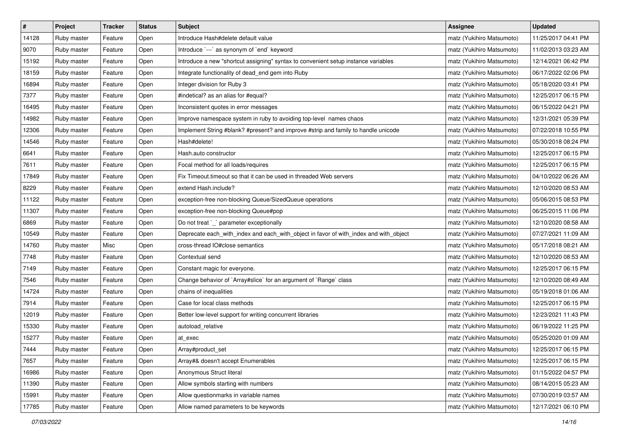| $\sharp$ | Project     | <b>Tracker</b> | <b>Status</b> | <b>Subject</b>                                                                        | <b>Assignee</b>           | <b>Updated</b>      |
|----------|-------------|----------------|---------------|---------------------------------------------------------------------------------------|---------------------------|---------------------|
| 14128    | Ruby master | Feature        | Open          | Introduce Hash#delete default value                                                   | matz (Yukihiro Matsumoto) | 11/25/2017 04:41 PM |
| 9070     | Ruby master | Feature        | Open          | Introduce `---` as synonym of `end` keyword                                           | matz (Yukihiro Matsumoto) | 11/02/2013 03:23 AM |
| 15192    | Ruby master | Feature        | Open          | Introduce a new "shortcut assigning" syntax to convenient setup instance variables    | matz (Yukihiro Matsumoto) | 12/14/2021 06:42 PM |
| 18159    | Ruby master | Feature        | Open          | Integrate functionality of dead_end gem into Ruby                                     | matz (Yukihiro Matsumoto) | 06/17/2022 02:06 PM |
| 16894    | Ruby master | Feature        | Open          | Integer division for Ruby 3                                                           | matz (Yukihiro Matsumoto) | 05/18/2020 03:41 PM |
| 7377     | Ruby master | Feature        | Open          | #indetical? as an alias for #equal?                                                   | matz (Yukihiro Matsumoto) | 12/25/2017 06:15 PM |
| 16495    | Ruby master | Feature        | Open          | Inconsistent quotes in error messages                                                 | matz (Yukihiro Matsumoto) | 06/15/2022 04:21 PM |
| 14982    | Ruby master | Feature        | Open          | Improve namespace system in ruby to avoiding top-level names chaos                    | matz (Yukihiro Matsumoto) | 12/31/2021 05:39 PM |
| 12306    | Ruby master | Feature        | Open          | Implement String #blank? #present? and improve #strip and family to handle unicode    | matz (Yukihiro Matsumoto) | 07/22/2018 10:55 PM |
| 14546    | Ruby master | Feature        | Open          | Hash#delete!                                                                          | matz (Yukihiro Matsumoto) | 05/30/2018 08:24 PM |
| 6641     | Ruby master | Feature        | Open          | Hash.auto constructor                                                                 | matz (Yukihiro Matsumoto) | 12/25/2017 06:15 PM |
| 7611     | Ruby master | Feature        | Open          | Focal method for all loads/requires                                                   | matz (Yukihiro Matsumoto) | 12/25/2017 06:15 PM |
| 17849    | Ruby master | Feature        | Open          | Fix Timeout.timeout so that it can be used in threaded Web servers                    | matz (Yukihiro Matsumoto) | 04/10/2022 06:26 AM |
| 8229     | Ruby master | Feature        | Open          | extend Hash.include?                                                                  | matz (Yukihiro Matsumoto) | 12/10/2020 08:53 AM |
| 11122    | Ruby master | Feature        | Open          | exception-free non-blocking Queue/SizedQueue operations                               | matz (Yukihiro Matsumoto) | 05/06/2015 08:53 PM |
| 11307    | Ruby master | Feature        | Open          | exception-free non-blocking Queue#pop                                                 | matz (Yukihiro Matsumoto) | 06/25/2015 11:06 PM |
| 6869     | Ruby master | Feature        | Open          | Do not treat `_` parameter exceptionally                                              | matz (Yukihiro Matsumoto) | 12/10/2020 08:58 AM |
| 10549    | Ruby master | Feature        | Open          | Deprecate each_with_index and each_with_object in favor of with_index and with_object | matz (Yukihiro Matsumoto) | 07/27/2021 11:09 AM |
| 14760    | Ruby master | Misc           | Open          | cross-thread IO#close semantics                                                       | matz (Yukihiro Matsumoto) | 05/17/2018 08:21 AM |
| 7748     | Ruby master | Feature        | Open          | Contextual send                                                                       | matz (Yukihiro Matsumoto) | 12/10/2020 08:53 AM |
| 7149     | Ruby master | Feature        | Open          | Constant magic for everyone.                                                          | matz (Yukihiro Matsumoto) | 12/25/2017 06:15 PM |
| 7546     | Ruby master | Feature        | Open          | Change behavior of `Array#slice` for an argument of `Range` class                     | matz (Yukihiro Matsumoto) | 12/10/2020 08:49 AM |
| 14724    | Ruby master | Feature        | Open          | chains of inequalities                                                                | matz (Yukihiro Matsumoto) | 05/19/2018 01:06 AM |
| 7914     | Ruby master | Feature        | Open          | Case for local class methods                                                          | matz (Yukihiro Matsumoto) | 12/25/2017 06:15 PM |
| 12019    | Ruby master | Feature        | Open          | Better low-level support for writing concurrent libraries                             | matz (Yukihiro Matsumoto) | 12/23/2021 11:43 PM |
| 15330    | Ruby master | Feature        | Open          | autoload_relative                                                                     | matz (Yukihiro Matsumoto) | 06/19/2022 11:25 PM |
| 15277    | Ruby master | Feature        | Open          | at exec                                                                               | matz (Yukihiro Matsumoto) | 05/25/2020 01:09 AM |
| 7444     | Ruby master | Feature        | Open          | Array#product_set                                                                     | matz (Yukihiro Matsumoto) | 12/25/2017 06:15 PM |
| 7657     | Ruby master | Feature        | Open          | Array#& doesn't accept Enumerables                                                    | matz (Yukihiro Matsumoto) | 12/25/2017 06:15 PM |
| 16986    | Ruby master | Feature        | Open          | Anonymous Struct literal                                                              | matz (Yukihiro Matsumoto) | 01/15/2022 04:57 PM |
| 11390    | Ruby master | Feature        | Open          | Allow symbols starting with numbers                                                   | matz (Yukihiro Matsumoto) | 08/14/2015 05:23 AM |
| 15991    | Ruby master | Feature        | Open          | Allow questionmarks in variable names                                                 | matz (Yukihiro Matsumoto) | 07/30/2019 03:57 AM |
| 17785    | Ruby master | Feature        | Open          | Allow named parameters to be keywords                                                 | matz (Yukihiro Matsumoto) | 12/17/2021 06:10 PM |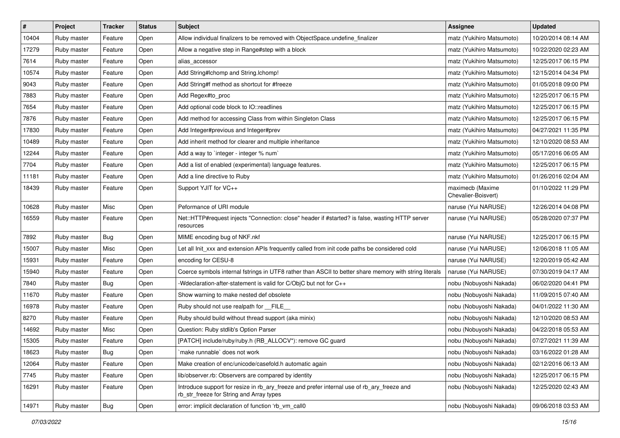| $\vert$ # | Project     | <b>Tracker</b> | <b>Status</b> | <b>Subject</b>                                                                                                                         | <b>Assignee</b>                         | <b>Updated</b>      |
|-----------|-------------|----------------|---------------|----------------------------------------------------------------------------------------------------------------------------------------|-----------------------------------------|---------------------|
| 10404     | Ruby master | Feature        | Open          | Allow individual finalizers to be removed with ObjectSpace.undefine_finalizer                                                          | matz (Yukihiro Matsumoto)               | 10/20/2014 08:14 AM |
| 17279     | Ruby master | Feature        | Open          | Allow a negative step in Range#step with a block                                                                                       | matz (Yukihiro Matsumoto)               | 10/22/2020 02:23 AM |
| 7614      | Ruby master | Feature        | Open          | alias accessor                                                                                                                         | matz (Yukihiro Matsumoto)               | 12/25/2017 06:15 PM |
| 10574     | Ruby master | Feature        | Open          | Add String#Ichomp and String.Ichomp!                                                                                                   | matz (Yukihiro Matsumoto)               | 12/15/2014 04:34 PM |
| 9043      | Ruby master | Feature        | Open          | Add String#f method as shortcut for #freeze                                                                                            | matz (Yukihiro Matsumoto)               | 01/05/2018 09:00 PM |
| 7883      | Ruby master | Feature        | Open          | Add Regex#to_proc                                                                                                                      | matz (Yukihiro Matsumoto)               | 12/25/2017 06:15 PM |
| 7654      | Ruby master | Feature        | Open          | Add optional code block to IO::readlines                                                                                               | matz (Yukihiro Matsumoto)               | 12/25/2017 06:15 PM |
| 7876      | Ruby master | Feature        | Open          | Add method for accessing Class from within Singleton Class                                                                             | matz (Yukihiro Matsumoto)               | 12/25/2017 06:15 PM |
| 17830     | Ruby master | Feature        | Open          | Add Integer#previous and Integer#prev                                                                                                  | matz (Yukihiro Matsumoto)               | 04/27/2021 11:35 PM |
| 10489     | Ruby master | Feature        | Open          | Add inherit method for clearer and multiple inheritance                                                                                | matz (Yukihiro Matsumoto)               | 12/10/2020 08:53 AM |
| 12244     | Ruby master | Feature        | Open          | Add a way to `integer - integer % num`                                                                                                 | matz (Yukihiro Matsumoto)               | 05/17/2016 06:05 AM |
| 7704      | Ruby master | Feature        | Open          | Add a list of enabled (experimental) language features.                                                                                | matz (Yukihiro Matsumoto)               | 12/25/2017 06:15 PM |
| 11181     | Ruby master | Feature        | Open          | Add a line directive to Ruby                                                                                                           | matz (Yukihiro Matsumoto)               | 01/26/2016 02:04 AM |
| 18439     | Ruby master | Feature        | Open          | Support YJIT for VC++                                                                                                                  | maximecb (Maxime<br>Chevalier-Boisvert) | 01/10/2022 11:29 PM |
| 10628     | Ruby master | Misc           | Open          | Peformance of URI module                                                                                                               | naruse (Yui NARUSE)                     | 12/26/2014 04:08 PM |
| 16559     | Ruby master | Feature        | Open          | Net::HTTP#request injects "Connection: close" header if #started? is false, wasting HTTP server<br>resources                           | naruse (Yui NARUSE)                     | 05/28/2020 07:37 PM |
| 7892      | Ruby master | Bug            | Open          | MIME encoding bug of NKF.nkf                                                                                                           | naruse (Yui NARUSE)                     | 12/25/2017 06:15 PM |
| 15007     | Ruby master | Misc           | Open          | Let all Init_xxx and extension APIs frequently called from init code paths be considered cold                                          | naruse (Yui NARUSE)                     | 12/06/2018 11:05 AM |
| 15931     | Ruby master | Feature        | Open          | encoding for CESU-8                                                                                                                    | naruse (Yui NARUSE)                     | 12/20/2019 05:42 AM |
| 15940     | Ruby master | Feature        | Open          | Coerce symbols internal fstrings in UTF8 rather than ASCII to better share memory with string literals                                 | naruse (Yui NARUSE)                     | 07/30/2019 04:17 AM |
| 7840      | Ruby master | Bug            | Open          | -Wdeclaration-after-statement is valid for C/ObjC but not for C++                                                                      | nobu (Nobuyoshi Nakada)                 | 06/02/2020 04:41 PM |
| 11670     | Ruby master | Feature        | Open          | Show warning to make nested def obsolete                                                                                               | nobu (Nobuyoshi Nakada)                 | 11/09/2015 07:40 AM |
| 16978     | Ruby master | Feature        | Open          | Ruby should not use realpath for FILE                                                                                                  | nobu (Nobuyoshi Nakada)                 | 04/01/2022 11:30 AM |
| 8270      | Ruby master | Feature        | Open          | Ruby should build without thread support (aka minix)                                                                                   | nobu (Nobuyoshi Nakada)                 | 12/10/2020 08:53 AM |
| 14692     | Ruby master | Misc           | Open          | Question: Ruby stdlib's Option Parser                                                                                                  | nobu (Nobuyoshi Nakada)                 | 04/22/2018 05:53 AM |
| 15305     | Ruby master | Feature        | Open          | [PATCH] include/ruby/ruby.h (RB_ALLOCV*): remove GC guard                                                                              | nobu (Nobuyoshi Nakada)                 | 07/27/2021 11:39 AM |
| 18623     | Ruby master | Bug            | Open          | make runnable` does not work                                                                                                           | nobu (Nobuyoshi Nakada)                 | 03/16/2022 01:28 AM |
| 12064     | Ruby master | Feature        | Open          | Make creation of enc/unicode/casefold.h automatic again                                                                                | nobu (Nobuyoshi Nakada)                 | 02/12/2016 06:13 AM |
| 7745      | Ruby master | Feature        | Open          | lib/observer.rb: Observers are compared by identity                                                                                    | nobu (Nobuyoshi Nakada)                 | 12/25/2017 06:15 PM |
| 16291     | Ruby master | Feature        | Open          | Introduce support for resize in rb_ary_freeze and prefer internal use of rb_ary_freeze and<br>rb_str_freeze for String and Array types | nobu (Nobuyoshi Nakada)                 | 12/25/2020 02:43 AM |
| 14971     | Ruby master | <b>Bug</b>     | Open          | error: implicit declaration of function 'rb_vm_call0                                                                                   | nobu (Nobuyoshi Nakada)                 | 09/06/2018 03:53 AM |